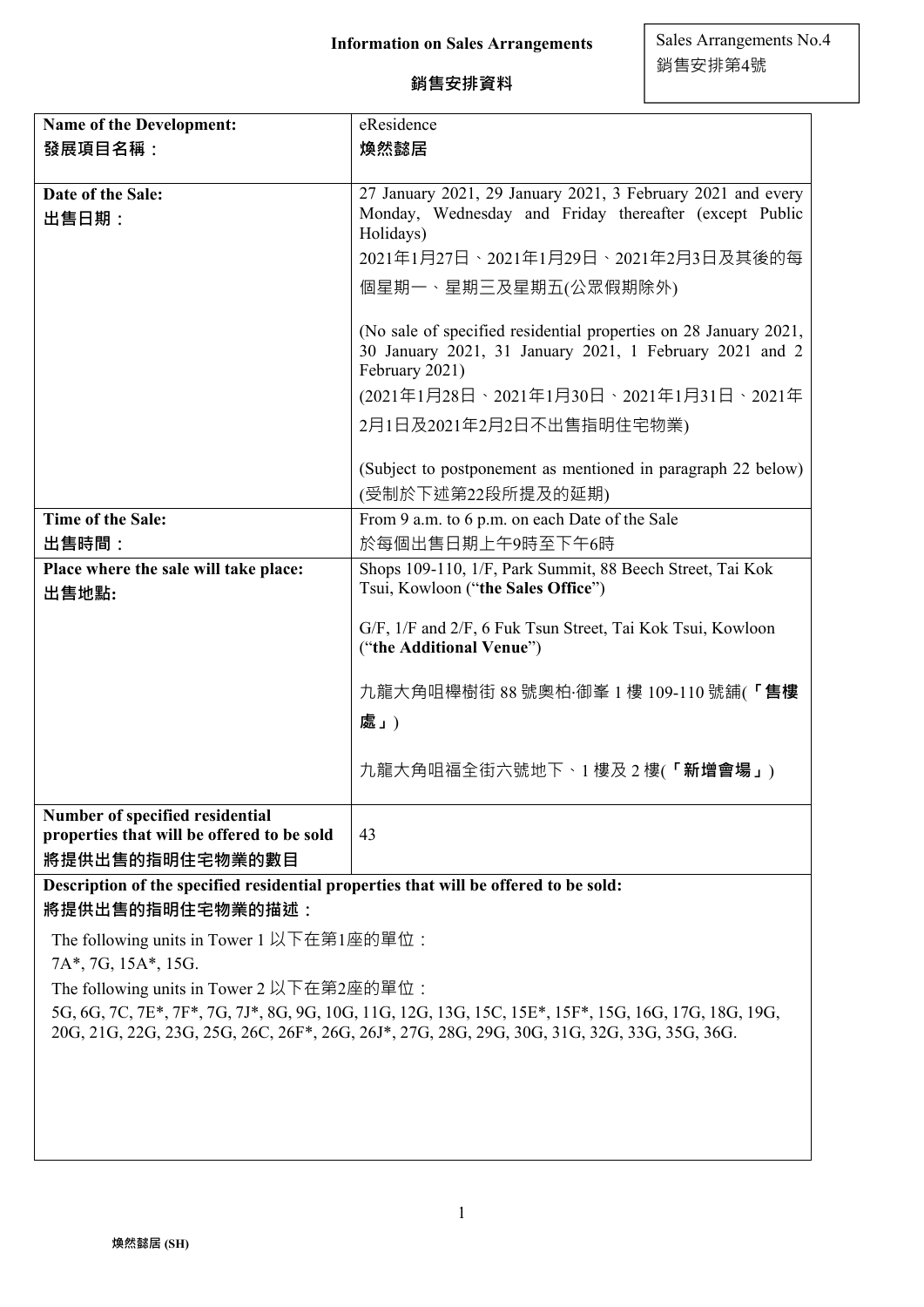# **銷售安排資料**

| Name of the Development:                                                                         | eResidence                                                                                                                                    |  |
|--------------------------------------------------------------------------------------------------|-----------------------------------------------------------------------------------------------------------------------------------------------|--|
| 發展項目名稱:                                                                                          | 煥然懿居                                                                                                                                          |  |
|                                                                                                  |                                                                                                                                               |  |
| Date of the Sale:                                                                                | 27 January 2021, 29 January 2021, 3 February 2021 and every                                                                                   |  |
| 出售日期:                                                                                            | Monday, Wednesday and Friday thereafter (except Public<br>Holidays)                                                                           |  |
|                                                                                                  | 2021年1月27日、2021年1月29日、2021年2月3日及其後的每                                                                                                          |  |
|                                                                                                  | 個星期一、星期三及星期五(公眾假期除外)                                                                                                                          |  |
|                                                                                                  | (No sale of specified residential properties on 28 January 2021,<br>30 January 2021, 31 January 2021, 1 February 2021 and 2<br>February 2021) |  |
|                                                                                                  | (2021年1月28日、2021年1月30日、2021年1月31日、2021年                                                                                                       |  |
|                                                                                                  | 2月1日及2021年2月2日不出售指明住宅物業)                                                                                                                      |  |
|                                                                                                  | (Subject to postponement as mentioned in paragraph 22 below)<br>(受制於下述第22段所提及的延期)                                                             |  |
| <b>Time of the Sale:</b>                                                                         | From 9 a.m. to 6 p.m. on each Date of the Sale                                                                                                |  |
| 出售時間:                                                                                            | 於每個出售日期上午9時至下午6時                                                                                                                              |  |
| Place where the sale will take place:<br>出售地點:                                                   | Shops 109-110, 1/F, Park Summit, 88 Beech Street, Tai Kok<br>Tsui, Kowloon ("the Sales Office")                                               |  |
|                                                                                                  | G/F, 1/F and 2/F, 6 Fuk Tsun Street, Tai Kok Tsui, Kowloon<br>("the Additional Venue")                                                        |  |
|                                                                                                  | 九龍大角咀櫸樹街 88 號奧柏·御峯 1 樓 109-110 號舖(「售樓                                                                                                         |  |
|                                                                                                  | 處」)                                                                                                                                           |  |
|                                                                                                  | 九龍大角咀福全街六號地下、1樓及2樓(「新增會場」)                                                                                                                    |  |
| Number of specified residential<br>properties that will be offered to be sold<br>將提供出售的指明住宅物業的數目 | 43                                                                                                                                            |  |
|                                                                                                  |                                                                                                                                               |  |

**Description of the specified residential properties that will be offered to be sold: 將提供出售的指明住宅物業的描述:**

The following units in Tower 1 以下在第1座的單位:

7A\*, 7G, 15A\*, 15G.

The following units in Tower 2 以下在第2座的單位:

5G, 6G, 7C, 7E\*, 7F\*, 7G, 7J\*, 8G, 9G, 10G, 11G, 12G, 13G, 15C, 15E\*, 15F\*, 15G, 16G, 17G, 18G, 19G, 20G, 21G, 22G, 23G, 25G, 26C, 26F\*, 26G, 26J\*, 27G, 28G, 29G, 30G, 31G, 32G, 33G, 35G, 36G.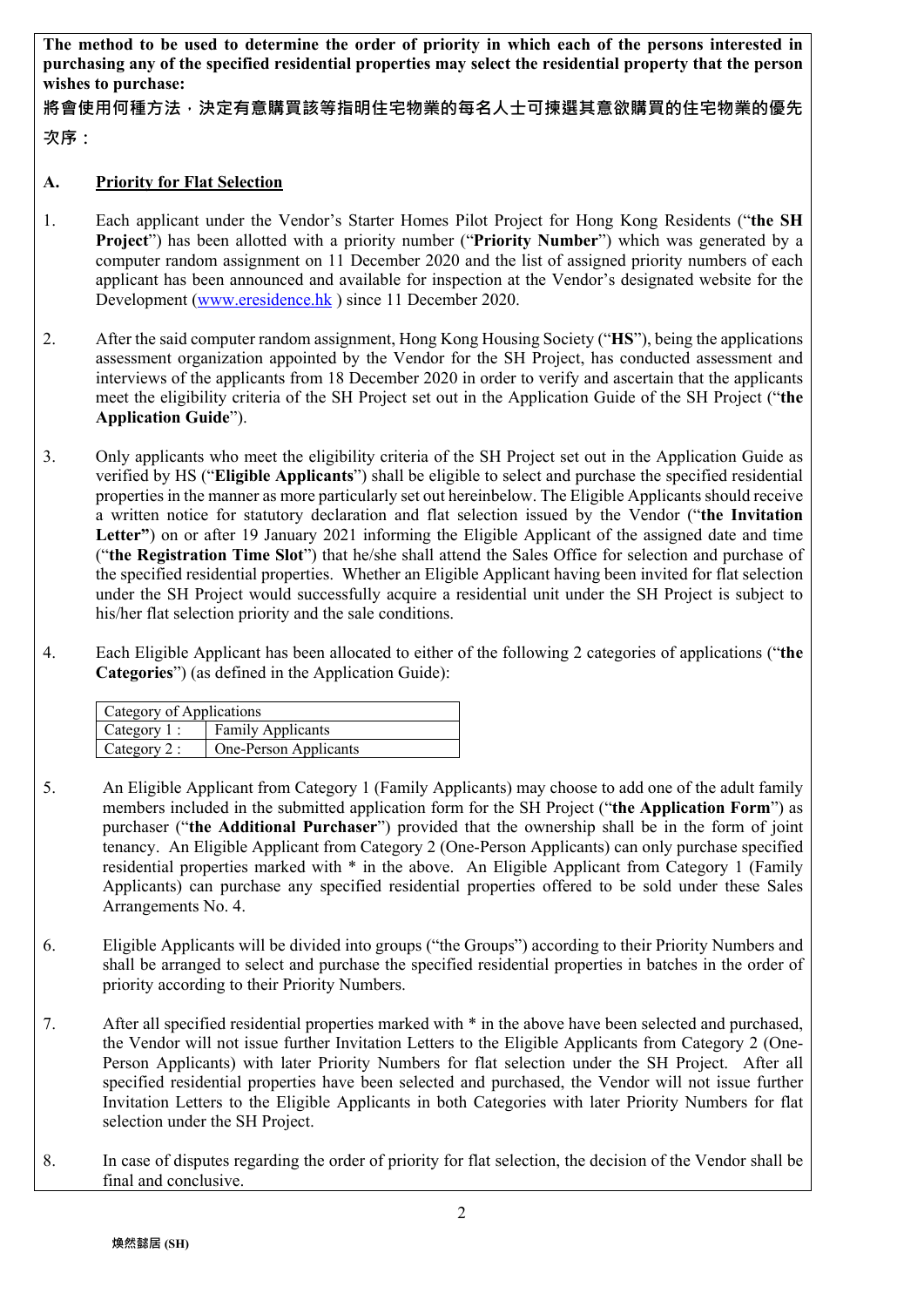**The method to be used to determine the order of priority in which each of the persons interested in purchasing any of the specified residential properties may select the residential property that the person wishes to purchase:** 

**將會使用何種方法,決定有意購買該等指明住宅物業的每名人士可揀選其意欲購買的住宅物業的優先**

**次序:**

## **A. Priority for Flat Selection**

- 1. Each applicant under the Vendor's Starter Homes Pilot Project for Hong Kong Residents ("**the SH Project**") has been allotted with a priority number ("**Priority Number**") which was generated by a computer random assignment on 11 December 2020 and the list of assigned priority numbers of each applicant has been announced and available for inspection at the Vendor's designated website for the Development (www.eresidence.hk ) since 11 December 2020.
- 2. After the said computer random assignment, Hong Kong Housing Society ("**HS**"), being the applications assessment organization appointed by the Vendor for the SH Project, has conducted assessment and interviews of the applicants from 18 December 2020 in order to verify and ascertain that the applicants meet the eligibility criteria of the SH Project set out in the Application Guide of the SH Project ("**the Application Guide**").
- 3. Only applicants who meet the eligibility criteria of the SH Project set out in the Application Guide as verified by HS ("**Eligible Applicants**") shall be eligible to select and purchase the specified residential properties in the manner as more particularly set out hereinbelow. The Eligible Applicants should receive a written notice for statutory declaration and flat selection issued by the Vendor ("**the Invitation**  Letter") on or after 19 January 2021 informing the Eligible Applicant of the assigned date and time ("**the Registration Time Slot**") that he/she shall attend the Sales Office for selection and purchase of the specified residential properties. Whether an Eligible Applicant having been invited for flat selection under the SH Project would successfully acquire a residential unit under the SH Project is subject to his/her flat selection priority and the sale conditions.
- 4. Each Eligible Applicant has been allocated to either of the following 2 categories of applications ("**the Categories**") (as defined in the Application Guide):

| Category of Applications    |                          |  |  |
|-----------------------------|--------------------------|--|--|
| Category 1:                 | <b>Family Applicants</b> |  |  |
| $\blacksquare$ Category 2 : | One-Person Applicants    |  |  |

- 5. An Eligible Applicant from Category 1 (Family Applicants) may choose to add one of the adult family members included in the submitted application form for the SH Project ("**the Application Form**") as purchaser ("**the Additional Purchaser**") provided that the ownership shall be in the form of joint tenancy. An Eligible Applicant from Category 2 (One-Person Applicants) can only purchase specified residential properties marked with \* in the above. An Eligible Applicant from Category 1 (Family Applicants) can purchase any specified residential properties offered to be sold under these Sales Arrangements No. 4.
- 6. Eligible Applicants will be divided into groups ("the Groups") according to their Priority Numbers and shall be arranged to select and purchase the specified residential properties in batches in the order of priority according to their Priority Numbers.
- 7. After all specified residential properties marked with \* in the above have been selected and purchased, the Vendor will not issue further Invitation Letters to the Eligible Applicants from Category 2 (One-Person Applicants) with later Priority Numbers for flat selection under the SH Project. After all specified residential properties have been selected and purchased, the Vendor will not issue further Invitation Letters to the Eligible Applicants in both Categories with later Priority Numbers for flat selection under the SH Project.
- 8. In case of disputes regarding the order of priority for flat selection, the decision of the Vendor shall be final and conclusive.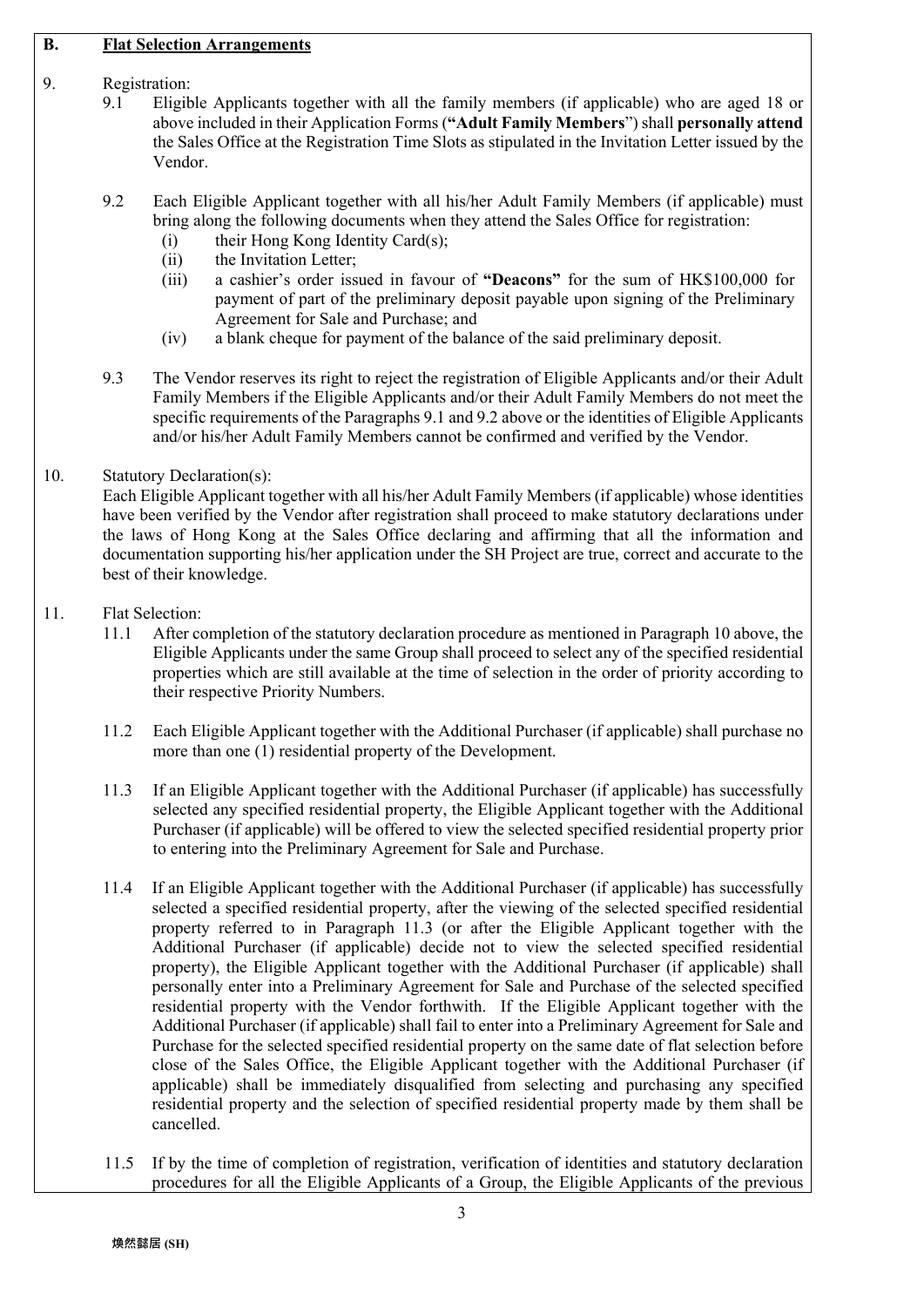#### **B. Flat Selection Arrangements**

## 9. Registration:

- 9.1 Eligible Applicants together with all the family members (if applicable) who are aged 18 or above included in their Application Forms (**"Adult Family Members**") shall **personally attend** the Sales Office at the Registration Time Slots as stipulated in the Invitation Letter issued by the Vendor.
- 9.2 Each Eligible Applicant together with all his/her Adult Family Members (if applicable) must bring along the following documents when they attend the Sales Office for registration:
	- (i) their Hong Kong Identity Card(s);
	- (ii) the Invitation Letter;
	- (iii) a cashier's order issued in favour of **"Deacons"** for the sum of HK\$100,000 for payment of part of the preliminary deposit payable upon signing of the Preliminary Agreement for Sale and Purchase; and
	- (iv) a blank cheque for payment of the balance of the said preliminary deposit.
- 9.3 The Vendor reserves its right to reject the registration of Eligible Applicants and/or their Adult Family Members if the Eligible Applicants and/or their Adult Family Members do not meet the specific requirements of the Paragraphs 9.1 and 9.2 above or the identities of Eligible Applicants and/or his/her Adult Family Members cannot be confirmed and verified by the Vendor.

#### 10. Statutory Declaration(s):

Each Eligible Applicant together with all his/her Adult Family Members (if applicable) whose identities have been verified by the Vendor after registration shall proceed to make statutory declarations under the laws of Hong Kong at the Sales Office declaring and affirming that all the information and documentation supporting his/her application under the SH Project are true, correct and accurate to the best of their knowledge.

- 11. Flat Selection:
	- 11.1 After completion of the statutory declaration procedure as mentioned in Paragraph 10 above, the Eligible Applicants under the same Group shall proceed to select any of the specified residential properties which are still available at the time of selection in the order of priority according to their respective Priority Numbers.
	- 11.2 Each Eligible Applicant together with the Additional Purchaser (if applicable) shall purchase no more than one (1) residential property of the Development.
	- 11.3 If an Eligible Applicant together with the Additional Purchaser (if applicable) has successfully selected any specified residential property, the Eligible Applicant together with the Additional Purchaser (if applicable) will be offered to view the selected specified residential property prior to entering into the Preliminary Agreement for Sale and Purchase.
	- 11.4 If an Eligible Applicant together with the Additional Purchaser (if applicable) has successfully selected a specified residential property, after the viewing of the selected specified residential property referred to in Paragraph 11.3 (or after the Eligible Applicant together with the Additional Purchaser (if applicable) decide not to view the selected specified residential property), the Eligible Applicant together with the Additional Purchaser (if applicable) shall personally enter into a Preliminary Agreement for Sale and Purchase of the selected specified residential property with the Vendor forthwith. If the Eligible Applicant together with the Additional Purchaser (if applicable) shall fail to enter into a Preliminary Agreement for Sale and Purchase for the selected specified residential property on the same date of flat selection before close of the Sales Office, the Eligible Applicant together with the Additional Purchaser (if applicable) shall be immediately disqualified from selecting and purchasing any specified residential property and the selection of specified residential property made by them shall be cancelled.
	- 11.5 If by the time of completion of registration, verification of identities and statutory declaration procedures for all the Eligible Applicants of a Group, the Eligible Applicants of the previous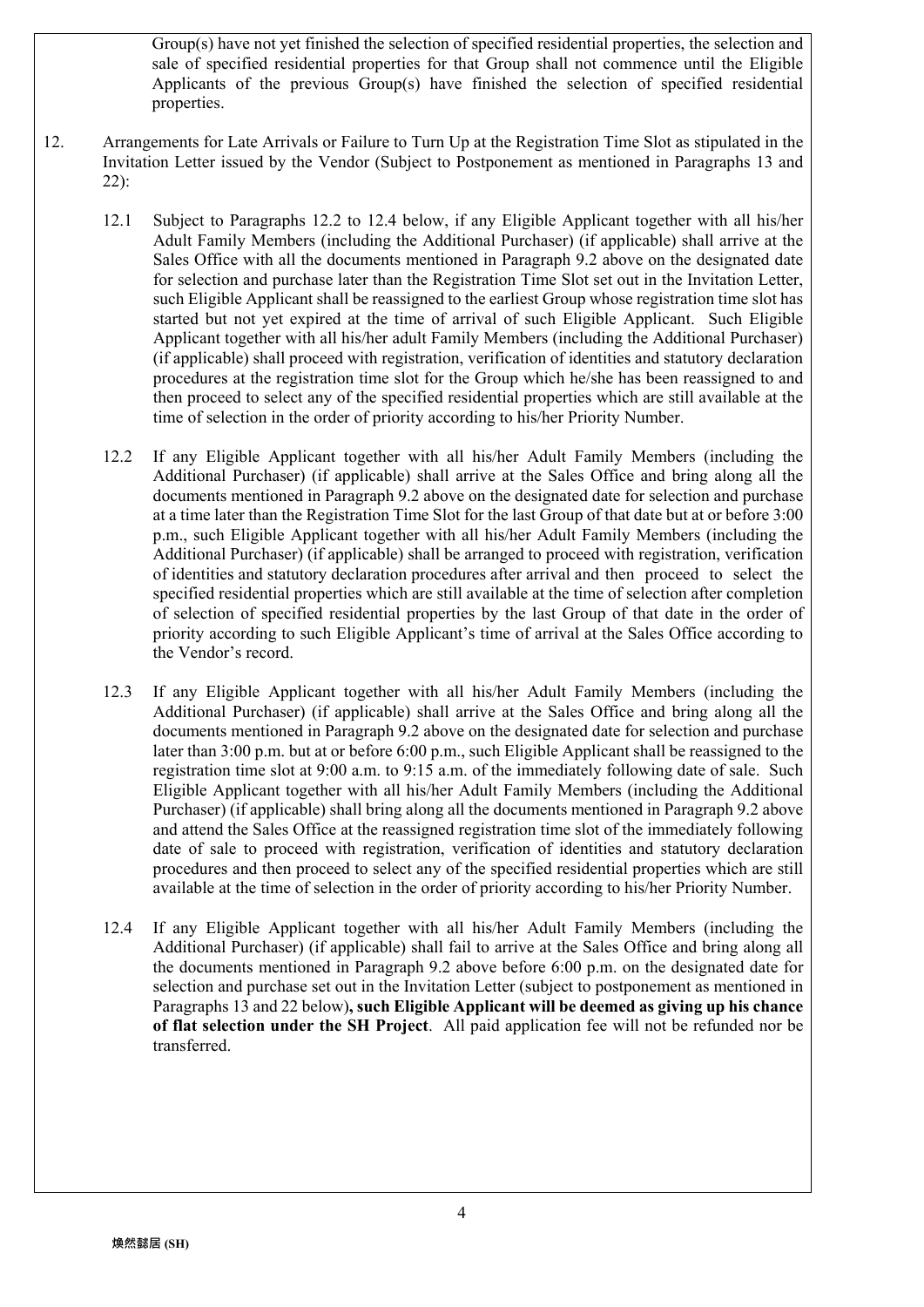Group(s) have not yet finished the selection of specified residential properties, the selection and sale of specified residential properties for that Group shall not commence until the Eligible Applicants of the previous Group(s) have finished the selection of specified residential properties.

- 12. Arrangements for Late Arrivals or Failure to Turn Up at the Registration Time Slot as stipulated in the Invitation Letter issued by the Vendor (Subject to Postponement as mentioned in Paragraphs 13 and 22):
	- 12.1 Subject to Paragraphs 12.2 to 12.4 below, if any Eligible Applicant together with all his/her Adult Family Members (including the Additional Purchaser) (if applicable) shall arrive at the Sales Office with all the documents mentioned in Paragraph 9.2 above on the designated date for selection and purchase later than the Registration Time Slot set out in the Invitation Letter, such Eligible Applicant shall be reassigned to the earliest Group whose registration time slot has started but not yet expired at the time of arrival of such Eligible Applicant. Such Eligible Applicant together with all his/her adult Family Members (including the Additional Purchaser) (if applicable) shall proceed with registration, verification of identities and statutory declaration procedures at the registration time slot for the Group which he/she has been reassigned to and then proceed to select any of the specified residential properties which are still available at the time of selection in the order of priority according to his/her Priority Number.
	- 12.2 If any Eligible Applicant together with all his/her Adult Family Members (including the Additional Purchaser) (if applicable) shall arrive at the Sales Office and bring along all the documents mentioned in Paragraph 9.2 above on the designated date for selection and purchase at a time later than the Registration Time Slot for the last Group of that date but at or before 3:00 p.m., such Eligible Applicant together with all his/her Adult Family Members (including the Additional Purchaser) (if applicable) shall be arranged to proceed with registration, verification of identities and statutory declaration procedures after arrival and then proceed to select the specified residential properties which are still available at the time of selection after completion of selection of specified residential properties by the last Group of that date in the order of priority according to such Eligible Applicant's time of arrival at the Sales Office according to the Vendor's record.
	- 12.3 If any Eligible Applicant together with all his/her Adult Family Members (including the Additional Purchaser) (if applicable) shall arrive at the Sales Office and bring along all the documents mentioned in Paragraph 9.2 above on the designated date for selection and purchase later than 3:00 p.m. but at or before 6:00 p.m., such Eligible Applicant shall be reassigned to the registration time slot at 9:00 a.m. to 9:15 a.m. of the immediately following date of sale. Such Eligible Applicant together with all his/her Adult Family Members (including the Additional Purchaser) (if applicable) shall bring along all the documents mentioned in Paragraph 9.2 above and attend the Sales Office at the reassigned registration time slot of the immediately following date of sale to proceed with registration, verification of identities and statutory declaration procedures and then proceed to select any of the specified residential properties which are still available at the time of selection in the order of priority according to his/her Priority Number.
	- 12.4 If any Eligible Applicant together with all his/her Adult Family Members (including the Additional Purchaser) (if applicable) shall fail to arrive at the Sales Office and bring along all the documents mentioned in Paragraph 9.2 above before 6:00 p.m. on the designated date for selection and purchase set out in the Invitation Letter (subject to postponement as mentioned in Paragraphs 13 and 22 below)**, such Eligible Applicant will be deemed as giving up his chance of flat selection under the SH Project**. All paid application fee will not be refunded nor be transferred.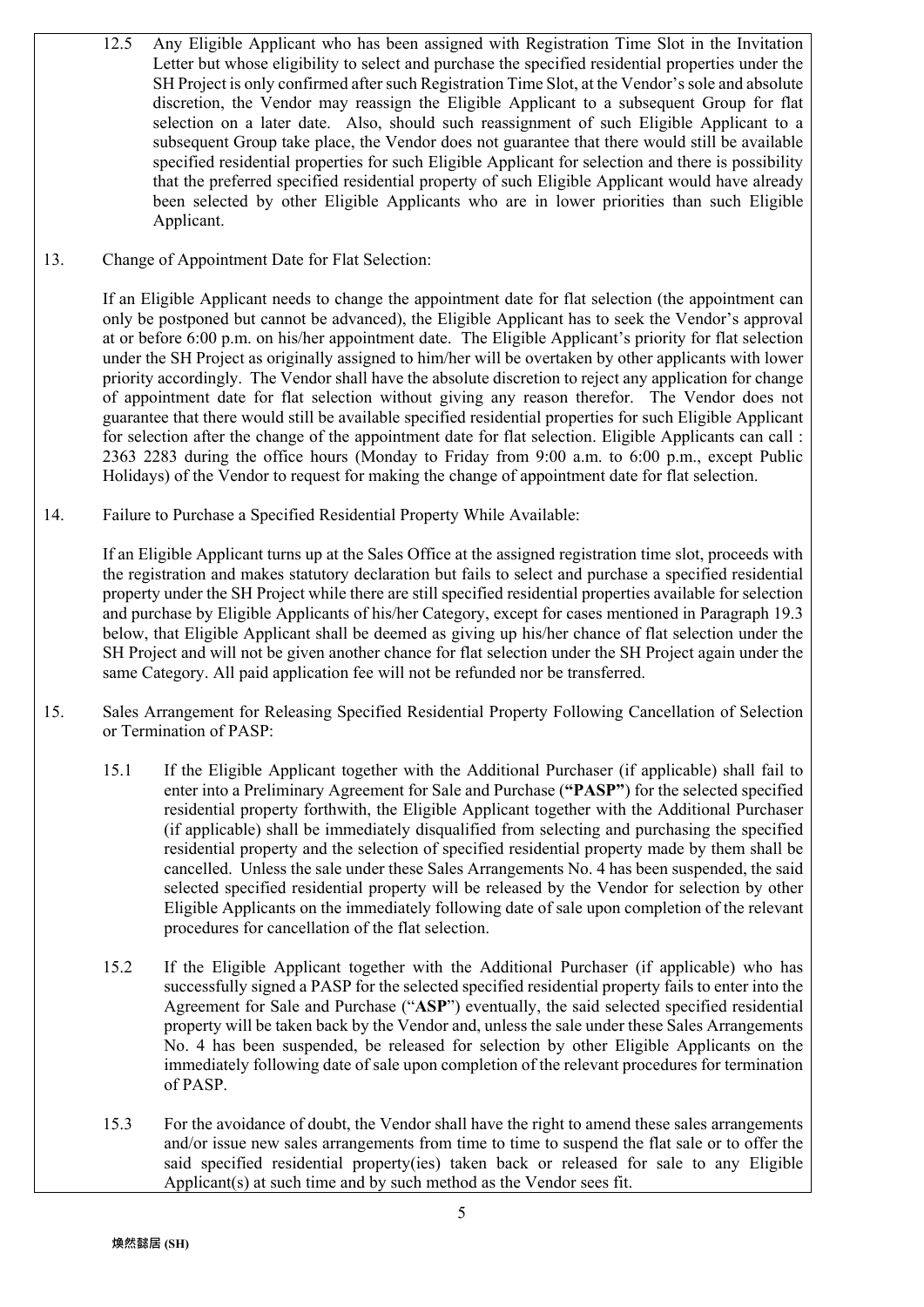- 12.5 Any Eligible Applicant who has been assigned with Registration Time Slot in the Invitation Letter but whose eligibility to select and purchase the specified residential properties under the SH Project is only confirmed after such Registration Time Slot, at the Vendor's sole and absolute discretion, the Vendor may reassign the Eligible Applicant to a subsequent Group for flat selection on a later date. Also, should such reassignment of such Eligible Applicant to a subsequent Group take place, the Vendor does not guarantee that there would still be available specified residential properties for such Eligible Applicant for selection and there is possibility that the preferred specified residential property of such Eligible Applicant would have already been selected by other Eligible Applicants who are in lower priorities than such Eligible Applicant.
- 13. Change of Appointment Date for Flat Selection:

If an Eligible Applicant needs to change the appointment date for flat selection (the appointment can only be postponed but cannot be advanced), the Eligible Applicant has to seek the Vendor's approval at or before 6:00 p.m. on his/her appointment date. The Eligible Applicant's priority for flat selection under the SH Project as originally assigned to him/her will be overtaken by other applicants with lower priority accordingly. The Vendor shall have the absolute discretion to reject any application for change of appointment date for flat selection without giving any reason therefor. The Vendor does not guarantee that there would still be available specified residential properties for such Eligible Applicant for selection after the change of the appointment date for flat selection. Eligible Applicants can call : 2363 2283 during the office hours (Monday to Friday from 9:00 a.m. to 6:00 p.m., except Public Holidays) of the Vendor to request for making the change of appointment date for flat selection.

14. Failure to Purchase a Specified Residential Property While Available:

If an Eligible Applicant turns up at the Sales Office at the assigned registration time slot, proceeds with the registration and makes statutory declaration but fails to select and purchase a specified residential property under the SH Project while there are still specified residential properties available for selection and purchase by Eligible Applicants of his/her Category, except for cases mentioned in Paragraph 19.3 below, that Eligible Applicant shall be deemed as giving up his/her chance of flat selection under the SH Project and will not be given another chance for flat selection under the SH Project again under the same Category. All paid application fee will not be refunded nor be transferred.

- 15. Sales Arrangement for Releasing Specified Residential Property Following Cancellation of Selection or Termination of PASP:
	- 15.1 If the Eligible Applicant together with the Additional Purchaser (if applicable) shall fail to enter into a Preliminary Agreement for Sale and Purchase (**"PASP"**) for the selected specified residential property forthwith, the Eligible Applicant together with the Additional Purchaser (if applicable) shall be immediately disqualified from selecting and purchasing the specified residential property and the selection of specified residential property made by them shall be cancelled. Unless the sale under these Sales Arrangements No. 4 has been suspended, the said selected specified residential property will be released by the Vendor for selection by other Eligible Applicants on the immediately following date of sale upon completion of the relevant procedures for cancellation of the flat selection.
	- 15.2 If the Eligible Applicant together with the Additional Purchaser (if applicable) who has successfully signed a PASP for the selected specified residential property fails to enter into the Agreement for Sale and Purchase ("**ASP**") eventually, the said selected specified residential property will be taken back by the Vendor and, unless the sale under these Sales Arrangements No. 4 has been suspended, be released for selection by other Eligible Applicants on the immediately following date of sale upon completion of the relevant procedures for termination of PASP.
	- 15.3 For the avoidance of doubt, the Vendor shall have the right to amend these sales arrangements and/or issue new sales arrangements from time to time to suspend the flat sale or to offer the said specified residential property(ies) taken back or released for sale to any Eligible Applicant(s) at such time and by such method as the Vendor sees fit.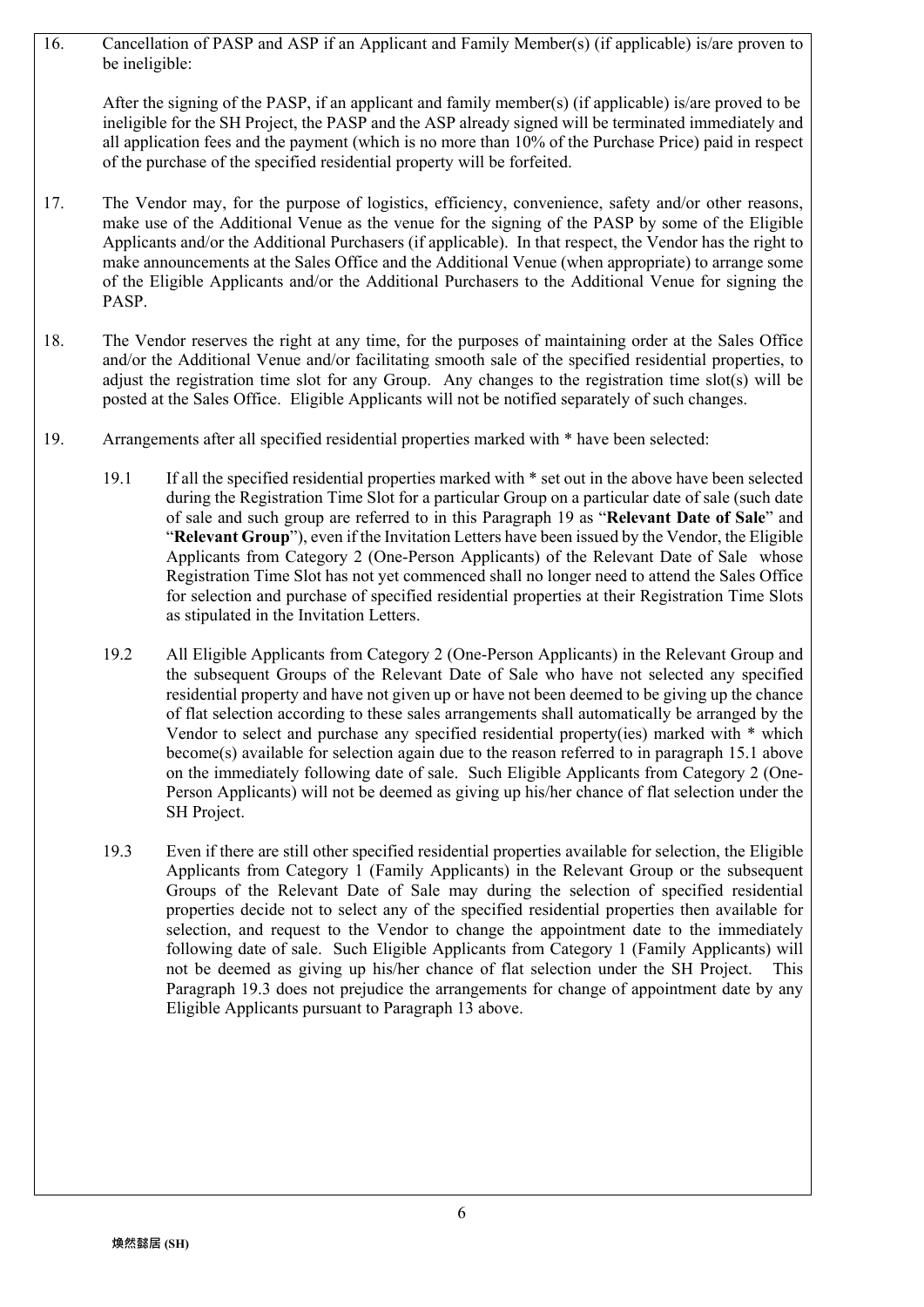16. Cancellation of PASP and ASP if an Applicant and Family Member(s) (if applicable) is/are proven to be ineligible:

After the signing of the PASP, if an applicant and family member(s) (if applicable) is/are proved to be ineligible for the SH Project, the PASP and the ASP already signed will be terminated immediately and all application fees and the payment (which is no more than 10% of the Purchase Price) paid in respect of the purchase of the specified residential property will be forfeited.

- 17. The Vendor may, for the purpose of logistics, efficiency, convenience, safety and/or other reasons, make use of the Additional Venue as the venue for the signing of the PASP by some of the Eligible Applicants and/or the Additional Purchasers (if applicable). In that respect, the Vendor has the right to make announcements at the Sales Office and the Additional Venue (when appropriate) to arrange some of the Eligible Applicants and/or the Additional Purchasers to the Additional Venue for signing the PASP.
- 18. The Vendor reserves the right at any time, for the purposes of maintaining order at the Sales Office and/or the Additional Venue and/or facilitating smooth sale of the specified residential properties, to adjust the registration time slot for any Group. Any changes to the registration time slot(s) will be posted at the Sales Office. Eligible Applicants will not be notified separately of such changes.
- 19. Arrangements after all specified residential properties marked with \* have been selected:
	- 19.1 If all the specified residential properties marked with \* set out in the above have been selected during the Registration Time Slot for a particular Group on a particular date of sale (such date of sale and such group are referred to in this Paragraph 19 as "**Relevant Date of Sale**" and "**Relevant Group**"), even if the Invitation Letters have been issued by the Vendor, the Eligible Applicants from Category 2 (One-Person Applicants) of the Relevant Date of Sale whose Registration Time Slot has not yet commenced shall no longer need to attend the Sales Office for selection and purchase of specified residential properties at their Registration Time Slots as stipulated in the Invitation Letters.
	- 19.2 All Eligible Applicants from Category 2 (One-Person Applicants) in the Relevant Group and the subsequent Groups of the Relevant Date of Sale who have not selected any specified residential property and have not given up or have not been deemed to be giving up the chance of flat selection according to these sales arrangements shall automatically be arranged by the Vendor to select and purchase any specified residential property(ies) marked with \* which become(s) available for selection again due to the reason referred to in paragraph 15.1 above on the immediately following date of sale. Such Eligible Applicants from Category 2 (One-Person Applicants) will not be deemed as giving up his/her chance of flat selection under the SH Project.
	- 19.3 Even if there are still other specified residential properties available for selection, the Eligible Applicants from Category 1 (Family Applicants) in the Relevant Group or the subsequent Groups of the Relevant Date of Sale may during the selection of specified residential properties decide not to select any of the specified residential properties then available for selection, and request to the Vendor to change the appointment date to the immediately following date of sale. Such Eligible Applicants from Category 1 (Family Applicants) will not be deemed as giving up his/her chance of flat selection under the SH Project. This Paragraph 19.3 does not prejudice the arrangements for change of appointment date by any Eligible Applicants pursuant to Paragraph 13 above.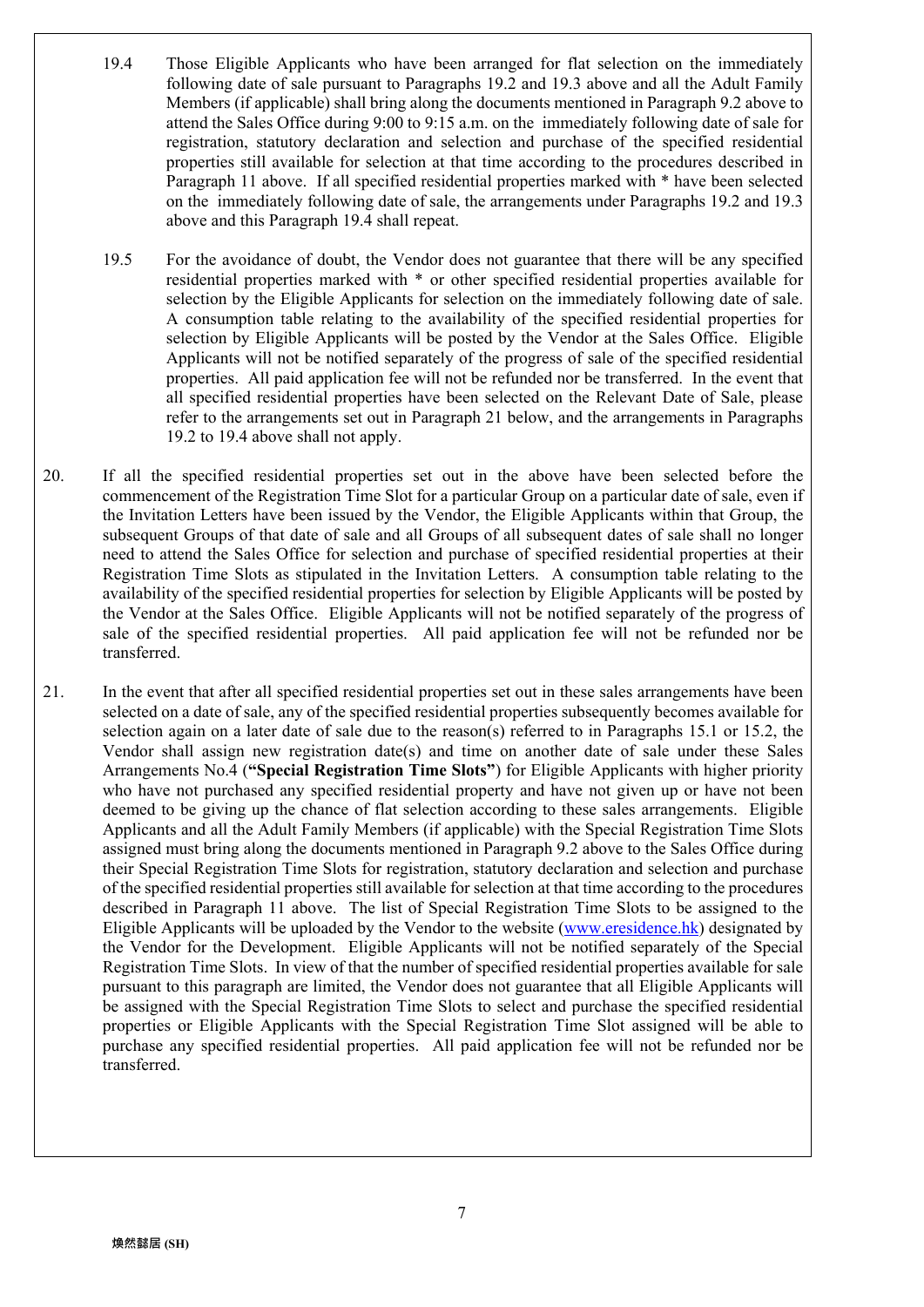- 19.4 Those Eligible Applicants who have been arranged for flat selection on the immediately following date of sale pursuant to Paragraphs 19.2 and 19.3 above and all the Adult Family Members (if applicable) shall bring along the documents mentioned in Paragraph 9.2 above to attend the Sales Office during 9:00 to 9:15 a.m. on the immediately following date of sale for registration, statutory declaration and selection and purchase of the specified residential properties still available for selection at that time according to the procedures described in Paragraph 11 above. If all specified residential properties marked with \* have been selected on the immediately following date of sale, the arrangements under Paragraphs 19.2 and 19.3 above and this Paragraph 19.4 shall repeat.
- 19.5 For the avoidance of doubt, the Vendor does not guarantee that there will be any specified residential properties marked with \* or other specified residential properties available for selection by the Eligible Applicants for selection on the immediately following date of sale. A consumption table relating to the availability of the specified residential properties for selection by Eligible Applicants will be posted by the Vendor at the Sales Office. Eligible Applicants will not be notified separately of the progress of sale of the specified residential properties. All paid application fee will not be refunded nor be transferred. In the event that all specified residential properties have been selected on the Relevant Date of Sale, please refer to the arrangements set out in Paragraph 21 below, and the arrangements in Paragraphs 19.2 to 19.4 above shall not apply.
- 20. If all the specified residential properties set out in the above have been selected before the commencement of the Registration Time Slot for a particular Group on a particular date of sale, even if the Invitation Letters have been issued by the Vendor, the Eligible Applicants within that Group, the subsequent Groups of that date of sale and all Groups of all subsequent dates of sale shall no longer need to attend the Sales Office for selection and purchase of specified residential properties at their Registration Time Slots as stipulated in the Invitation Letters. A consumption table relating to the availability of the specified residential properties for selection by Eligible Applicants will be posted by the Vendor at the Sales Office. Eligible Applicants will not be notified separately of the progress of sale of the specified residential properties. All paid application fee will not be refunded nor be transferred.
- 21. In the event that after all specified residential properties set out in these sales arrangements have been selected on a date of sale, any of the specified residential properties subsequently becomes available for selection again on a later date of sale due to the reason(s) referred to in Paragraphs 15.1 or 15.2, the Vendor shall assign new registration date(s) and time on another date of sale under these Sales Arrangements No.4 (**"Special Registration Time Slots"**) for Eligible Applicants with higher priority who have not purchased any specified residential property and have not given up or have not been deemed to be giving up the chance of flat selection according to these sales arrangements. Eligible Applicants and all the Adult Family Members (if applicable) with the Special Registration Time Slots assigned must bring along the documents mentioned in Paragraph 9.2 above to the Sales Office during their Special Registration Time Slots for registration, statutory declaration and selection and purchase of the specified residential properties still available for selection at that time according to the procedures described in Paragraph 11 above. The list of Special Registration Time Slots to be assigned to the Eligible Applicants will be uploaded by the Vendor to the website (www.eresidence.hk) designated by the Vendor for the Development. Eligible Applicants will not be notified separately of the Special Registration Time Slots. In view of that the number of specified residential properties available for sale pursuant to this paragraph are limited, the Vendor does not guarantee that all Eligible Applicants will be assigned with the Special Registration Time Slots to select and purchase the specified residential properties or Eligible Applicants with the Special Registration Time Slot assigned will be able to purchase any specified residential properties. All paid application fee will not be refunded nor be transferred.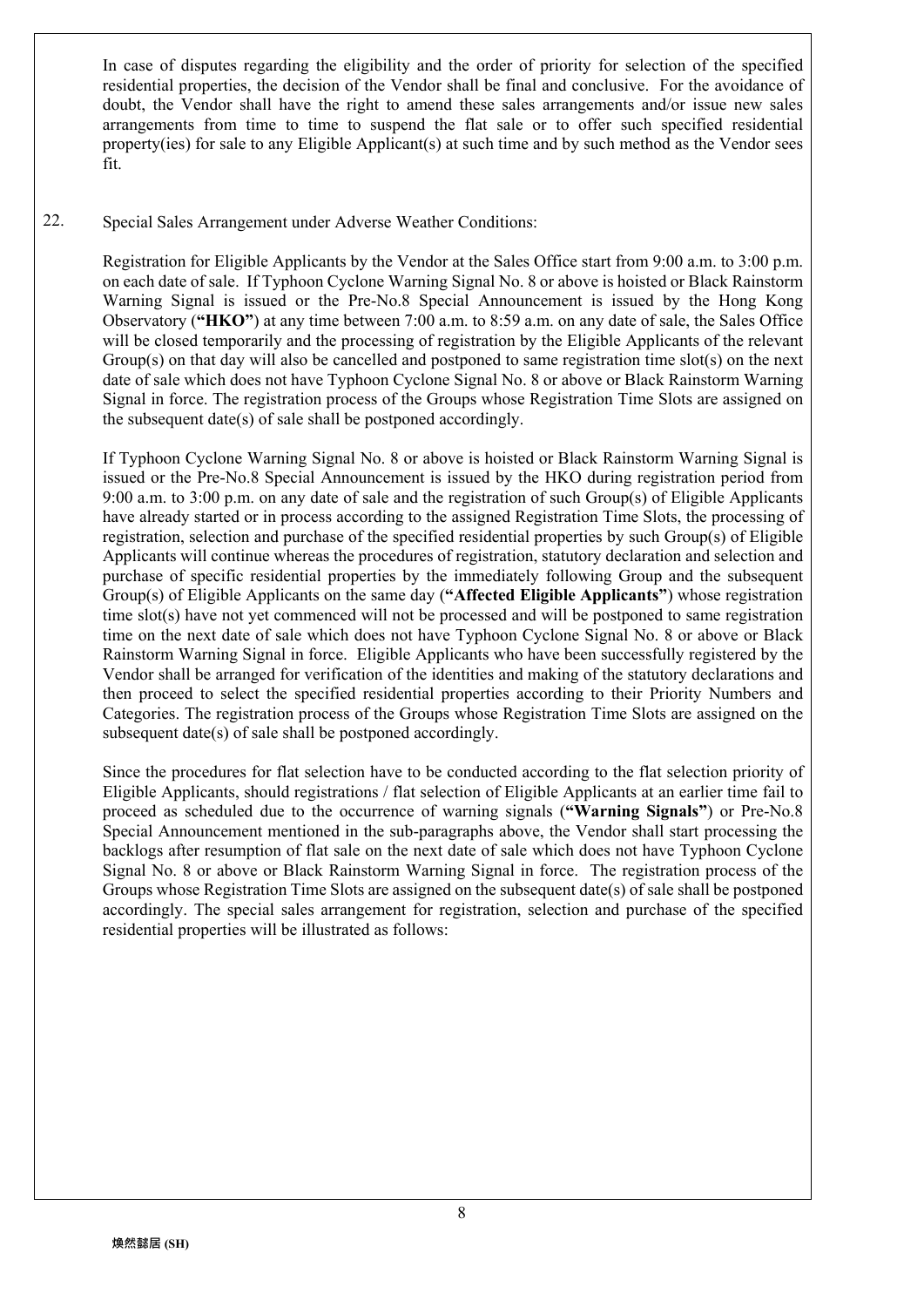In case of disputes regarding the eligibility and the order of priority for selection of the specified residential properties, the decision of the Vendor shall be final and conclusive. For the avoidance of doubt, the Vendor shall have the right to amend these sales arrangements and/or issue new sales arrangements from time to time to suspend the flat sale or to offer such specified residential property(ies) for sale to any Eligible Applicant(s) at such time and by such method as the Vendor sees fit.

22. Special Sales Arrangement under Adverse Weather Conditions:

> Registration for Eligible Applicants by the Vendor at the Sales Office start from 9:00 a.m. to 3:00 p.m. on each date of sale. If Typhoon Cyclone Warning Signal No. 8 or above is hoisted or Black Rainstorm Warning Signal is issued or the Pre-No.8 Special Announcement is issued by the Hong Kong Observatory (**"HKO"**) at any time between 7:00 a.m. to 8:59 a.m. on any date of sale, the Sales Office will be closed temporarily and the processing of registration by the Eligible Applicants of the relevant Group(s) on that day will also be cancelled and postponed to same registration time slot(s) on the next date of sale which does not have Typhoon Cyclone Signal No. 8 or above or Black Rainstorm Warning Signal in force. The registration process of the Groups whose Registration Time Slots are assigned on the subsequent date(s) of sale shall be postponed accordingly.

> If Typhoon Cyclone Warning Signal No. 8 or above is hoisted or Black Rainstorm Warning Signal is issued or the Pre-No.8 Special Announcement is issued by the HKO during registration period from 9:00 a.m. to 3:00 p.m. on any date of sale and the registration of such Group(s) of Eligible Applicants have already started or in process according to the assigned Registration Time Slots, the processing of registration, selection and purchase of the specified residential properties by such Group(s) of Eligible Applicants will continue whereas the procedures of registration, statutory declaration and selection and purchase of specific residential properties by the immediately following Group and the subsequent Group(s) of Eligible Applicants on the same day (**"Affected Eligible Applicants"**) whose registration time slot(s) have not yet commenced will not be processed and will be postponed to same registration time on the next date of sale which does not have Typhoon Cyclone Signal No. 8 or above or Black Rainstorm Warning Signal in force. Eligible Applicants who have been successfully registered by the Vendor shall be arranged for verification of the identities and making of the statutory declarations and then proceed to select the specified residential properties according to their Priority Numbers and Categories. The registration process of the Groups whose Registration Time Slots are assigned on the subsequent date(s) of sale shall be postponed accordingly.

> Since the procedures for flat selection have to be conducted according to the flat selection priority of Eligible Applicants, should registrations / flat selection of Eligible Applicants at an earlier time fail to proceed as scheduled due to the occurrence of warning signals (**"Warning Signals"**) or Pre-No.8 Special Announcement mentioned in the sub-paragraphs above, the Vendor shall start processing the backlogs after resumption of flat sale on the next date of sale which does not have Typhoon Cyclone Signal No. 8 or above or Black Rainstorm Warning Signal in force. The registration process of the Groups whose Registration Time Slots are assigned on the subsequent date(s) of sale shall be postponed accordingly. The special sales arrangement for registration, selection and purchase of the specified residential properties will be illustrated as follows: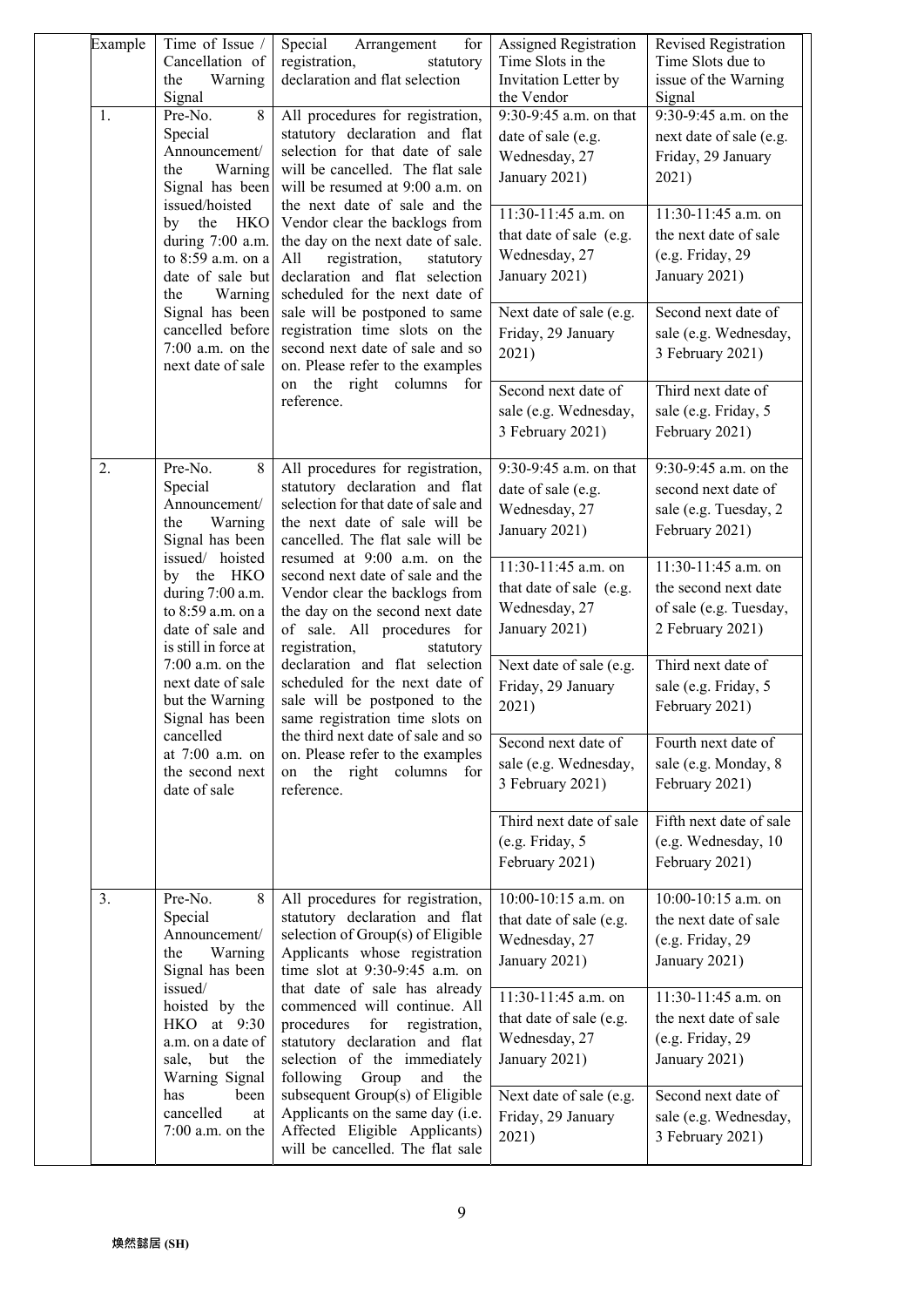| Example<br>1.                                                                                                                                                                                       | Time of Issue /<br>Special<br>Arrangement<br>for<br>Cancellation of<br>registration,<br>statutory<br>declaration and flat selection<br>Warning<br>the<br>Signal<br>8<br>All procedures for registration,<br>Pre-No.<br>statutory declaration and flat<br>Special<br>selection for that date of sale<br>Announcement/<br>will be cancelled. The flat sale<br>Warning<br>the<br>Signal has been<br>will be resumed at 9:00 a.m. on<br>issued/hoisted<br>the next date of sale and the<br><b>HKO</b><br>Vendor clear the backlogs from<br>the<br>by<br>during 7:00 a.m.<br>the day on the next date of sale.<br>to 8:59 a.m. on a<br>registration,<br>All<br>statutory<br>date of sale but<br>declaration and flat selection<br>scheduled for the next date of<br>the<br>Warning<br>Signal has been<br>sale will be postponed to same<br>cancelled before<br>registration time slots on the<br>second next date of sale and so<br>$7:00$ a.m. on the<br>next date of sale<br>on. Please refer to the examples | Assigned Registration<br>Time Slots in the<br>Invitation Letter by<br>the Vendor<br>9:30-9:45 a.m. on that<br>date of sale (e.g.<br>Wednesday, 27<br>January 2021)<br>11:30-11:45 a.m. on | Revised Registration<br>Time Slots due to<br>issue of the Warning<br>Signal<br>9:30-9:45 a.m. on the<br>next date of sale (e.g.<br>Friday, 29 January<br>2021)<br>$11:30-11:45$ a.m. on |                                                                                         |
|-----------------------------------------------------------------------------------------------------------------------------------------------------------------------------------------------------|------------------------------------------------------------------------------------------------------------------------------------------------------------------------------------------------------------------------------------------------------------------------------------------------------------------------------------------------------------------------------------------------------------------------------------------------------------------------------------------------------------------------------------------------------------------------------------------------------------------------------------------------------------------------------------------------------------------------------------------------------------------------------------------------------------------------------------------------------------------------------------------------------------------------------------------------------------------------------------------------------------|-------------------------------------------------------------------------------------------------------------------------------------------------------------------------------------------|-----------------------------------------------------------------------------------------------------------------------------------------------------------------------------------------|-----------------------------------------------------------------------------------------|
|                                                                                                                                                                                                     |                                                                                                                                                                                                                                                                                                                                                                                                                                                                                                                                                                                                                                                                                                                                                                                                                                                                                                                                                                                                            | that date of sale (e.g.<br>Wednesday, 27<br>January 2021)<br>Next date of sale (e.g.<br>Friday, 29 January<br>2021)                                                                       | the next date of sale<br>(e.g. Friday, 29)<br>January 2021)<br>Second next date of<br>sale (e.g. Wednesday,<br>3 February 2021)                                                         |                                                                                         |
|                                                                                                                                                                                                     |                                                                                                                                                                                                                                                                                                                                                                                                                                                                                                                                                                                                                                                                                                                                                                                                                                                                                                                                                                                                            | on the right columns for<br>reference.                                                                                                                                                    | Second next date of<br>sale (e.g. Wednesday,<br>3 February 2021)                                                                                                                        | Third next date of<br>sale (e.g. Friday, 5<br>February 2021)                            |
| 2.                                                                                                                                                                                                  | Pre-No.<br>8<br>Special<br>Announcement/<br>the<br>Warning<br>Signal has been                                                                                                                                                                                                                                                                                                                                                                                                                                                                                                                                                                                                                                                                                                                                                                                                                                                                                                                              | All procedures for registration,<br>statutory declaration and flat<br>selection for that date of sale and<br>the next date of sale will be<br>cancelled. The flat sale will be            | 9:30-9:45 a.m. on that<br>date of sale (e.g.<br>Wednesday, 27<br>January 2021)                                                                                                          | 9:30-9:45 a.m. on the<br>second next date of<br>sale (e.g. Tuesday, 2<br>February 2021) |
| issued/ hoisted<br>by the HKO<br>during 7:00 a.m.<br>to 8:59 a.m. on a<br>date of sale and<br>is still in force at<br>$7:00$ a.m. on the<br>next date of sale<br>but the Warning<br>Signal has been | resumed at 9:00 a.m. on the<br>second next date of sale and the<br>Vendor clear the backlogs from<br>the day on the second next date<br>of sale. All procedures for<br>registration,<br>statutory<br>declaration and flat selection<br>scheduled for the next date of<br>sale will be postponed to the<br>same registration time slots on                                                                                                                                                                                                                                                                                                                                                                                                                                                                                                                                                                                                                                                                  | 11:30-11:45 a.m. on<br>that date of sale (e.g.<br>Wednesday, 27<br>January 2021)                                                                                                          | $11:30-11:45$ a.m. on<br>the second next date<br>of sale (e.g. Tuesday,<br>2 February 2021)                                                                                             |                                                                                         |
|                                                                                                                                                                                                     |                                                                                                                                                                                                                                                                                                                                                                                                                                                                                                                                                                                                                                                                                                                                                                                                                                                                                                                                                                                                            | Next date of sale (e.g.<br>Friday, 29 January<br>2021)                                                                                                                                    | Third next date of<br>sale (e.g. Friday, 5<br>February 2021)                                                                                                                            |                                                                                         |
|                                                                                                                                                                                                     | cancelled<br>the third next date of sale and so<br>on. Please refer to the examples<br>at 7:00 a.m. on<br>the second next<br>on the right columns for<br>date of sale<br>reference.                                                                                                                                                                                                                                                                                                                                                                                                                                                                                                                                                                                                                                                                                                                                                                                                                        | Second next date of<br>sale (e.g. Wednesday,<br>3 February 2021)                                                                                                                          | Fourth next date of<br>sale (e.g. Monday, 8<br>February 2021)                                                                                                                           |                                                                                         |
|                                                                                                                                                                                                     |                                                                                                                                                                                                                                                                                                                                                                                                                                                                                                                                                                                                                                                                                                                                                                                                                                                                                                                                                                                                            |                                                                                                                                                                                           | Third next date of sale<br>(e.g. Friday, 5)<br>February 2021)                                                                                                                           | Fifth next date of sale<br>(e.g. Wednesday, 10)<br>February 2021)                       |
| 3.                                                                                                                                                                                                  | Pre-No.<br>8<br>Special<br>Announcement/<br>the<br>Warning<br>Signal has been                                                                                                                                                                                                                                                                                                                                                                                                                                                                                                                                                                                                                                                                                                                                                                                                                                                                                                                              | All procedures for registration,<br>statutory declaration and flat<br>selection of Group(s) of Eligible<br>Applicants whose registration<br>time slot at 9:30-9:45 a.m. on                | $10:00-10:15$ a.m. on<br>that date of sale (e.g.<br>Wednesday, 27<br>January 2021)                                                                                                      | 10:00-10:15 a.m. on<br>the next date of sale<br>(e.g. Friday, 29<br>January 2021)       |
| issued/<br>hoisted by the<br>HKO at 9:30<br>a.m. on a date of<br>sale, but the<br>Warning Signal<br>been<br>has<br>cancelled<br>at<br>$7:00$ a.m. on the                                            | that date of sale has already<br>commenced will continue. All<br>registration,<br>procedures<br>for<br>statutory declaration and flat<br>selection of the immediately<br>following<br>Group<br>and<br>the                                                                                                                                                                                                                                                                                                                                                                                                                                                                                                                                                                                                                                                                                                                                                                                                  | 11:30-11:45 a.m. on<br>that date of sale (e.g.<br>Wednesday, 27<br>January 2021)                                                                                                          | 11:30-11:45 a.m. on<br>the next date of sale<br>(e.g. Friday, 29)<br>January 2021)                                                                                                      |                                                                                         |
|                                                                                                                                                                                                     | subsequent Group(s) of Eligible<br>Applicants on the same day (i.e.<br>Affected Eligible Applicants)<br>will be cancelled. The flat sale                                                                                                                                                                                                                                                                                                                                                                                                                                                                                                                                                                                                                                                                                                                                                                                                                                                                   | Next date of sale (e.g.<br>Friday, 29 January<br>2021)                                                                                                                                    | Second next date of<br>sale (e.g. Wednesday,<br>3 February 2021)                                                                                                                        |                                                                                         |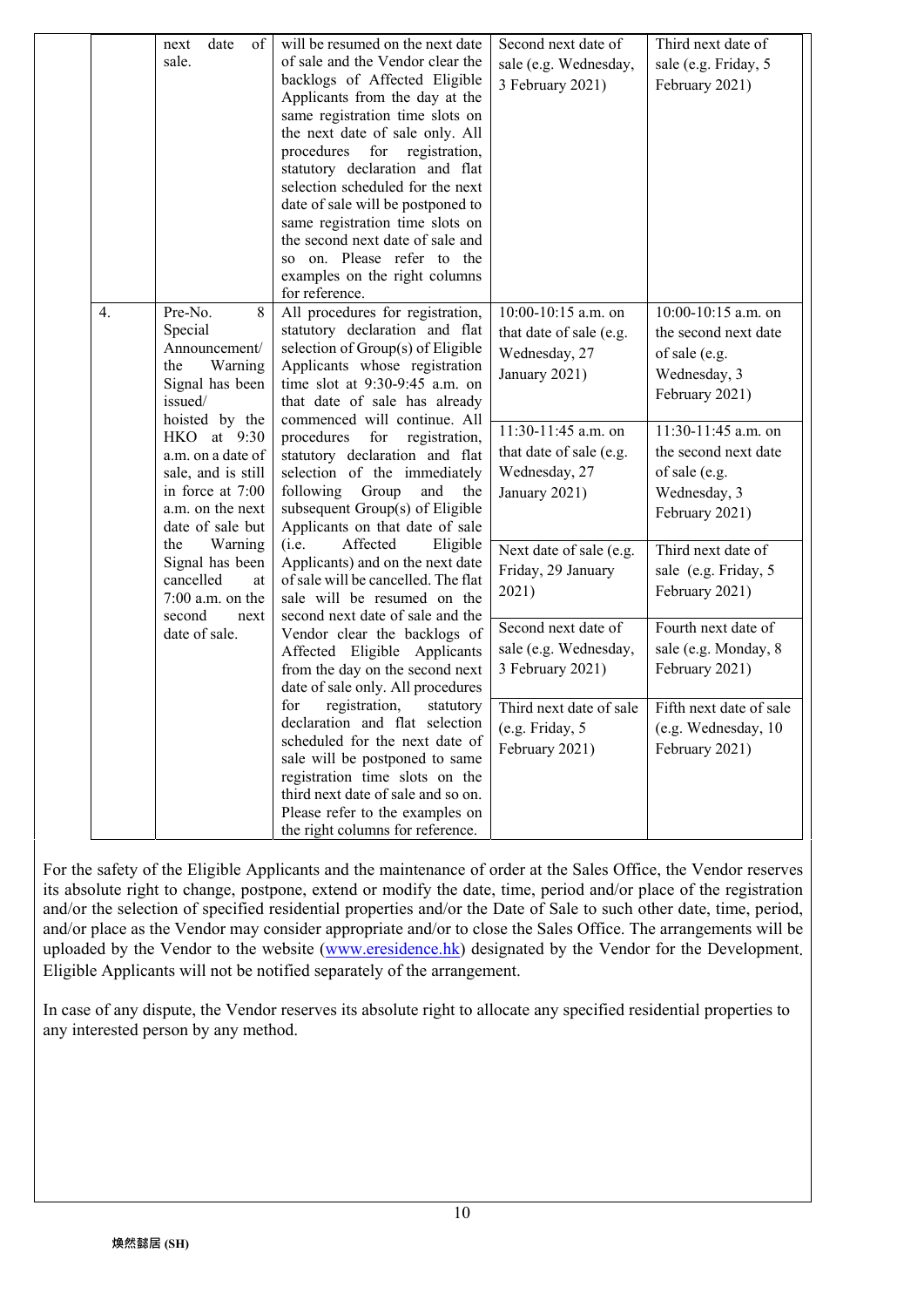|    | date<br>next<br>of                | will be resumed on the next date                                    | Second next date of     | Third next date of      |
|----|-----------------------------------|---------------------------------------------------------------------|-------------------------|-------------------------|
|    | sale.                             | of sale and the Vendor clear the                                    | sale (e.g. Wednesday,   | sale (e.g. Friday, 5    |
|    |                                   | backlogs of Affected Eligible                                       | 3 February 2021)        | February 2021)          |
|    |                                   | Applicants from the day at the                                      |                         |                         |
|    |                                   | same registration time slots on                                     |                         |                         |
|    |                                   | the next date of sale only. All                                     |                         |                         |
|    |                                   | procedures for<br>registration,                                     |                         |                         |
|    |                                   | statutory declaration and flat                                      |                         |                         |
|    |                                   | selection scheduled for the next                                    |                         |                         |
|    |                                   | date of sale will be postponed to                                   |                         |                         |
|    |                                   | same registration time slots on<br>the second next date of sale and |                         |                         |
|    |                                   | so on. Please refer to the                                          |                         |                         |
|    |                                   | examples on the right columns                                       |                         |                         |
|    |                                   | for reference.                                                      |                         |                         |
| 4. | Pre-No.<br>8                      | All procedures for registration,                                    | 10:00-10:15 a.m. on     | 10:00-10:15 a.m. on     |
|    | Special                           | statutory declaration and flat                                      | that date of sale (e.g. | the second next date    |
|    | Announcement/                     | selection of Group(s) of Eligible                                   | Wednesday, 27           | of sale (e.g.           |
|    | Warning<br>the                    | Applicants whose registration                                       |                         |                         |
|    | Signal has been                   | time slot at 9:30-9:45 a.m. on                                      | January 2021)           | Wednesday, 3            |
|    | issued/                           | that date of sale has already                                       |                         | February 2021)          |
|    | hoisted by the                    | commenced will continue. All                                        | 11:30-11:45 a.m. on     |                         |
|    | HKO at 9:30                       | registration,<br>procedures<br>for                                  |                         | 11:30-11:45 a.m. on     |
|    | a.m. on a date of                 | statutory declaration and flat                                      | that date of sale (e.g. | the second next date    |
|    | sale, and is still                | selection of the immediately                                        | Wednesday, 27           | of sale (e.g.           |
|    | in force at 7:00                  | following<br>Group<br>and<br>the                                    | January 2021)           | Wednesday, 3            |
|    | a.m. on the next                  | subsequent Group(s) of Eligible                                     |                         | February 2021)          |
|    | date of sale but                  | Applicants on that date of sale                                     |                         |                         |
|    | the<br>Warning<br>Signal has been | Affected<br>(i.e.<br>Eligible<br>Applicants) and on the next date   | Next date of sale (e.g. | Third next date of      |
|    | cancelled<br>at                   | of sale will be cancelled. The flat                                 | Friday, 29 January      | sale (e.g. Friday, 5    |
|    | $7:00$ a.m. on the                | sale will be resumed on the                                         | 2021)                   | February 2021)          |
|    | second<br>next                    | second next date of sale and the                                    |                         |                         |
|    | date of sale.                     | Vendor clear the backlogs of                                        | Second next date of     | Fourth next date of     |
|    |                                   | Affected Eligible Applicants                                        | sale (e.g. Wednesday,   | sale (e.g. Monday, 8    |
|    |                                   | from the day on the second next                                     | 3 February 2021)        | February 2021)          |
|    |                                   | date of sale only. All procedures                                   |                         |                         |
|    |                                   | for<br>registration,<br>statutory                                   | Third next date of sale | Fifth next date of sale |
|    |                                   | declaration and flat selection                                      | (e.g. Friday, 5         | (e.g. Wednesday, 10     |
|    |                                   | scheduled for the next date of                                      | February 2021)          | February 2021)          |
|    |                                   | sale will be postponed to same                                      |                         |                         |
|    |                                   | registration time slots on the                                      |                         |                         |
|    |                                   | third next date of sale and so on.                                  |                         |                         |
|    |                                   | Please refer to the examples on                                     |                         |                         |
|    |                                   | the right columns for reference.                                    |                         |                         |

For the safety of the Eligible Applicants and the maintenance of order at the Sales Office, the Vendor reserves its absolute right to change, postpone, extend or modify the date, time, period and/or place of the registration and/or the selection of specified residential properties and/or the Date of Sale to such other date, time, period, and/or place as the Vendor may consider appropriate and/or to close the Sales Office. The arrangements will be uploaded by the Vendor to the website (www.eresidence.hk) designated by the Vendor for the Development. Eligible Applicants will not be notified separately of the arrangement.

In case of any dispute, the Vendor reserves its absolute right to allocate any specified residential properties to any interested person by any method.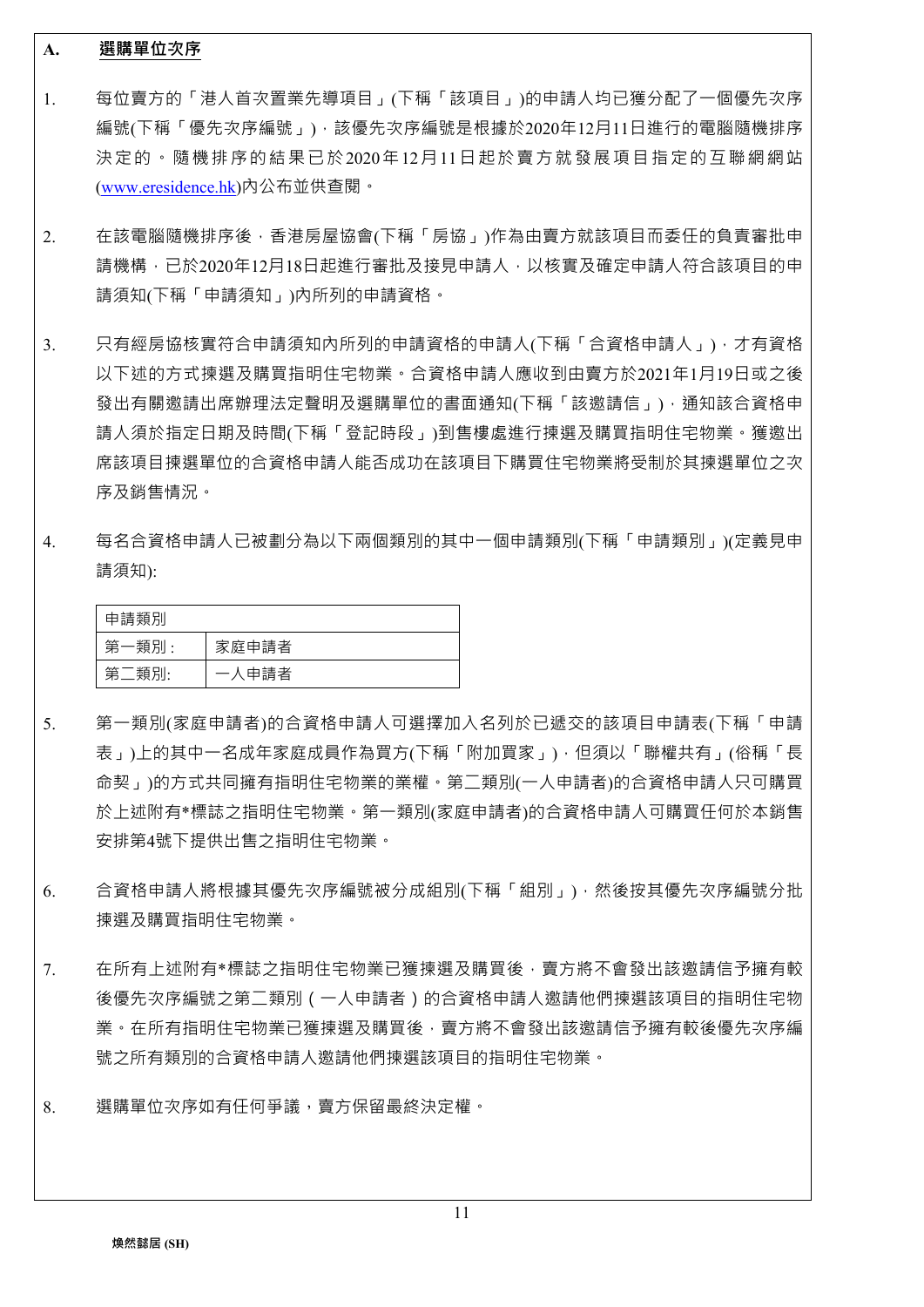#### **A. 選購單位次序**

- 1. 每位賣方的「港人首次置業先導項目」(下稱「該項目」)的申請人均已獲分配了一個優先次序 編號(下稱「優先次序編號」),該優先次序編號是根據於2020年12月11日進行的電腦隨機排序 決定的。隨機排序的結果已於2020年12月11日起於賣方就發展項目指定的互聯網網站 (www.eresidence.hk)內公布並供查閱。
- 2. 在該電腦隨機排序後,香港房屋協會(下稱「房協」)作為由賣方就該項目而委任的負責審批申 請機構,已於2020年12月18日起進行審批及接見申請人,以核實及確定申請人符合該項目的申 請須知(下稱「申請須知」)內所列的申請資格。
- 3. 只有經房協核實符合申請須知內所列的申請資格的申請人(下稱「合資格申請人」),才有資格 以下述的方式揀選及購買指明住宅物業。合資格申請人應收到由賣方於2021年1月19日或之後 發出有關邀請出席辦理法定聲明及選購單位的書面通知(下稱「該邀請信」),通知該合資格申 請人須於指定日期及時間(下稱「登記時段」)到售樓處進行揀選及購買指明住宅物業。獲邀出 席該項目揀選單位的合資格申請人能否成功在該項目下購買住宅物業將受制於其揀選單位之次 序及銷售情況。
- 4. 每名合資格申請人已被劃分為以下兩個類別的其中一個申請類別(下稱「申請類別」)(定義見申 請須知):

| 申請類別  |       |
|-------|-------|
| 第一類別: | 家庭申請者 |
| 第二類別: | 一人申請者 |

- 5. 第一類別(家庭申請者)的合資格申請人可選擇加入名列於已遞交的該項目申請表(下稱「申請 表」)上的其中一名成年家庭成員作為買方(下稱「附加買家」),但須以「聯權共有」(俗稱「長 命契」)的方式共同擁有指明住宅物業的業權。第二類別(一人申請者)的合資格申請人只可購買 於上述附有\*標誌之指明住宅物業。第一類別(家庭申請者)的合資格申請人可購買任何於本銷售 安排第4號下提供出售之指明住宅物業。
- 6. 合資格申請人將根據其優先次序編號被分成組別(下稱「組別」),然後按其優先次序編號分批 揀選及購買指明住宅物業。
- 7. 在所有上述附有\*標誌之指明住宅物業已獲揀選及購買後,賣方將不會發出該邀請信予擁有較 後優先次序編號之第二類別(一人申請者)的合資格申請人邀請他們揀選該項目的指明住宅物 業。在所有指明住宅物業已獲揀選及購買後,賣方將不會發出該激請信予擁有較後優先次序編 號之所有類別的合資格申請人邀請他們揀選該項目的指明住宅物業。
- 8. 選購單位次序如有任何爭議,賣方保留最終決定權。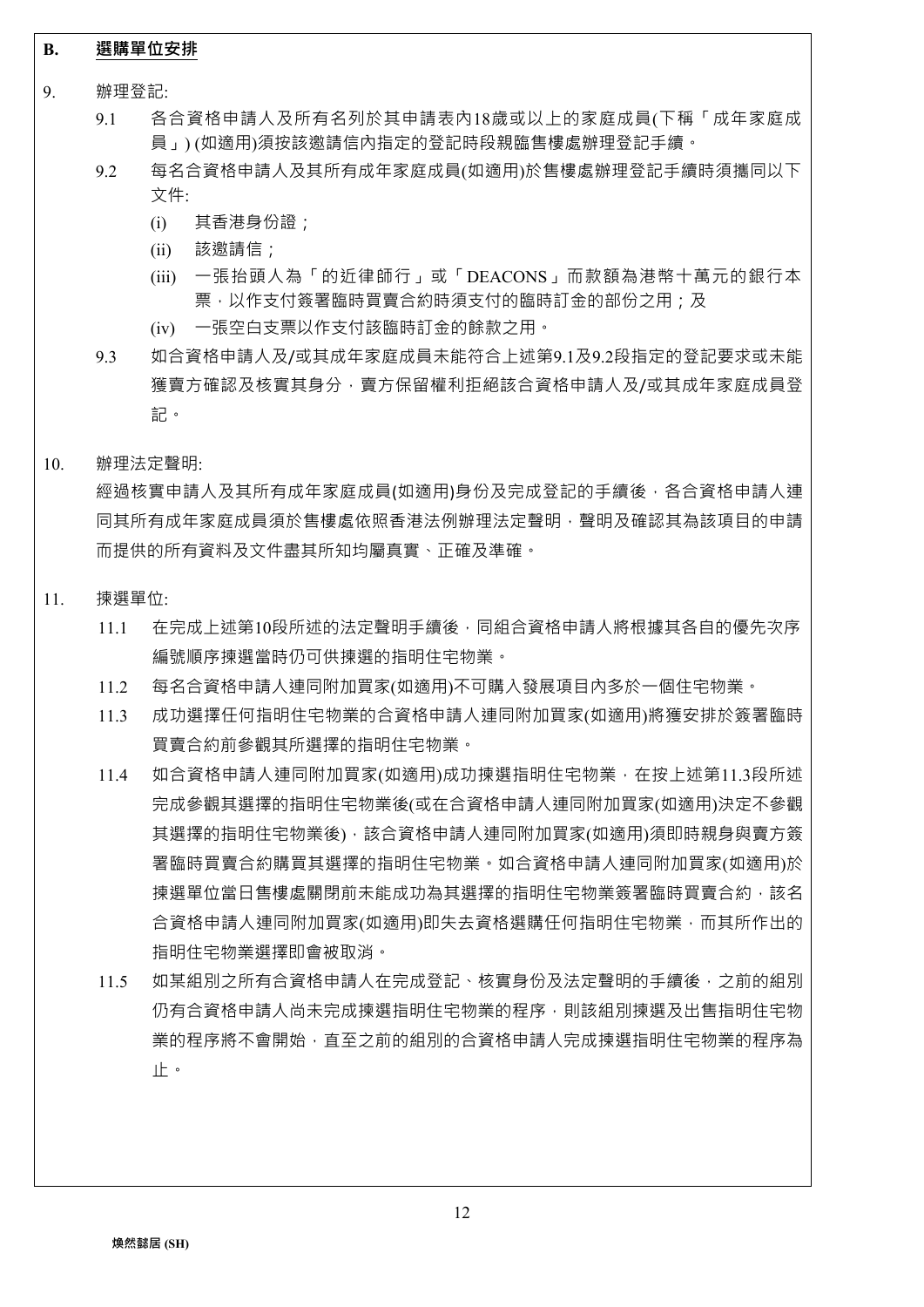## **B. 選購單位安排**

- 9. 辦理登記:
	- 9.1 各合資格申請人及所有名列於其申請表內18歲或以上的家庭成員(下稱「成年家庭成 員」) (如適用)須按該邀請信內指定的登記時段親臨售樓處辦理登記手續。
	- 9.2 每名合資格申請人及其所有成年家庭成員(如適用)於售樓處辦理登記手續時須攜同以下 文件:
		- (i) 其香港身份證;
		- (ii) 該邀請信;
		- (iii) 一張抬頭人為「的近律師行」或「DEACONS」而款額為港幣十萬元的銀行本 票,以作支付簽署臨時買賣合約時須支付的臨時訂金的部份之用;及
		- (iv) 一張空白支票以作支付該臨時訂金的餘款之用。
	- 9.3 如合資格申請人及/或其成年家庭成員未能符合上述第9.1及9.2段指定的登記要求或未能 獲賣方確認及核實其身分,賣方保留權利拒絕該合資格申請人及/或其成年家庭成員登 記。
- 10. 辦理法定聲明:

經過核實申請人及其所有成年家庭成員(如適用)身份及完成登記的手續後,各合資格申請人連 同其所有成年家庭成員須於售樓處依照香港法例辦理法定聲明,聲明及確認其為該項目的申請 而提供的所有資料及文件盡其所知均屬真實、正確及準確。

- 11. 揀選單位:
	- 11.1 在完成上述第10段所述的法定聲明手續後,同組合資格申請人將根據其各自的優先次序 編號順序揀選當時仍可供揀選的指明住宅物業。
	- 11.2 每名合資格申請人連同附加買家(如適用)不可購入發展項目內多於一個住宅物業。
	- 11.3 成功選擇任何指明住宅物業的合資格申請人連同附加買家(如適用)將獲安排於簽署臨時 買賣合約前參觀其所選擇的指明住宅物業。
	- 11.4 如合資格申請人連同附加買家(如適用)成功揀選指明住宅物業,在按上述第11.3段所述 完成參觀其選擇的指明住宅物業後(或在合資格申請人連同附加買家(如適用)決定不參觀 其選擇的指明住宅物業後),該合資格申請人連同附加買家(如適用)須即時親身與賣方簽 署臨時買賣合約購買其選擇的指明住宅物業。如合資格申請人連同附加買家(如適用)於 揀選單位當日售樓處關閉前未能成功為其選擇的指明住宅物業簽署臨時買賣合約,該名 合資格申請人連同附加買家(如適用)即失去資格選購任何指明住宅物業,而其所作出的 指明住宅物業選擇即會被取消。
	- 11.5 如某組別之所有合資格申請人在完成登記、核實身份及法定聲明的手續後,之前的組別 仍有合資格申請人尚未完成揀選指明住宅物業的程序,則該組別揀選及出售指明住宅物 業的程序將不會開始,直至之前的組別的合資格申請人完成揀選指明住宅物業的程序為 止。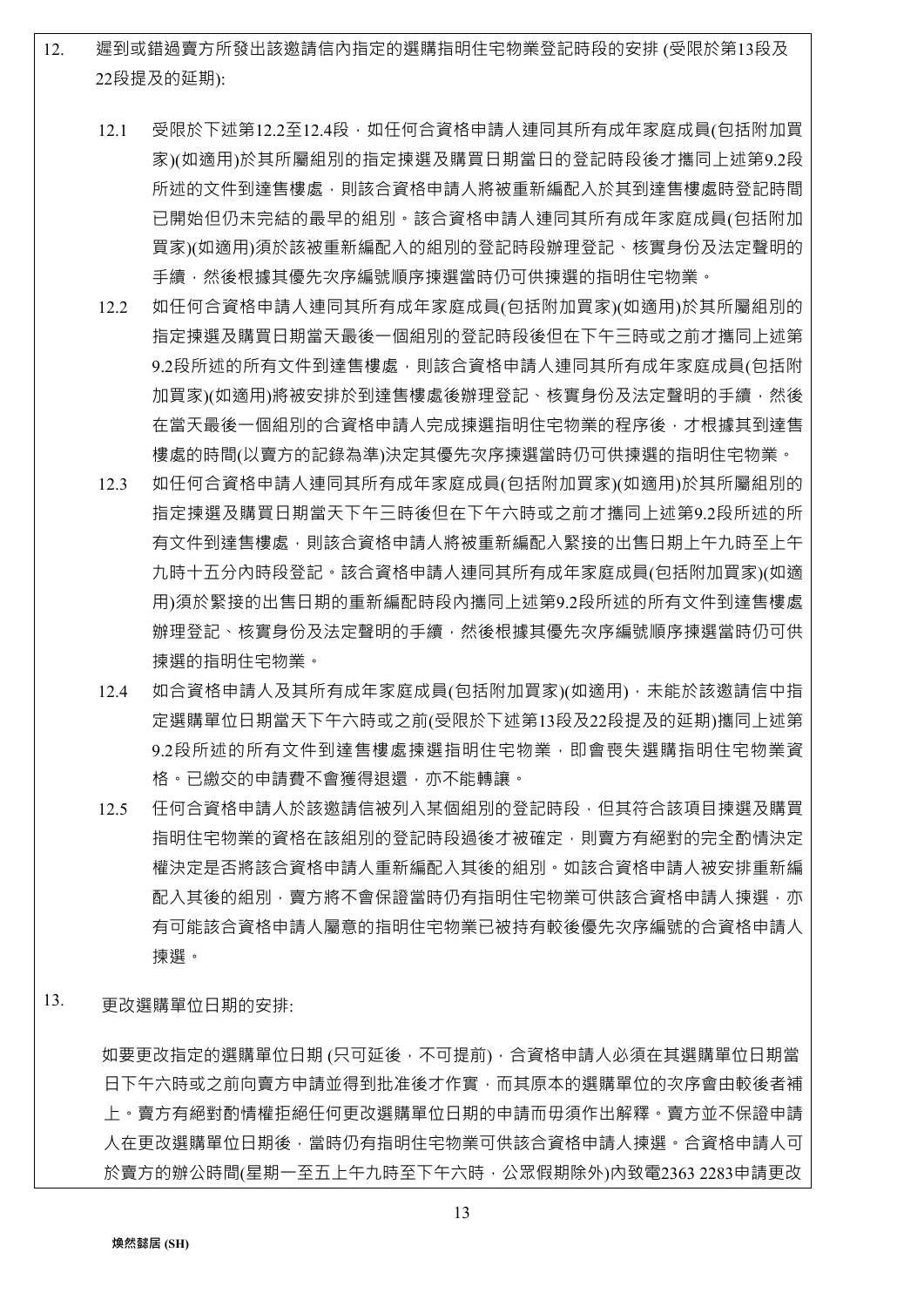12. 遲到或錯過賣方所發出該邀請信內指定的選購指明住宅物業登記時段的安排 (受限於第13段及 22段提及的延期):

- 12.1 受限於下述第12.2至12.4段,如任何合資格申請人連同其所有成年家庭成員(包括附加買 家)(如適用)於其所屬組別的指定揀選及購買日期當日的登記時段後才攜同上述第9.2段 所述的文件到達售樓處,則該合資格申請人將被重新編配入於其到達售樓處時登記時間 已開始但仍未完結的最早的組別。該合資格申請人連同其所有成年家庭成員(包括附加 買家)(如適用)須於該被重新編配入的組別的登記時段辦理登記、核實身份及法定聲明的 手續,然後根據其優先次序編號順序揀選當時仍可供揀選的指明住宅物業。
- 12.2 如任何合資格申請人連同其所有成年家庭成員(包括附加買家)(如適用)於其所屬組別的 指定揀選及購買日期當天最後一個組別的登記時段後但在下午三時或之前才攜同上述第 9.2段所述的所有文件到達售樓處,則該合資格申請人連同其所有成年家庭成員(包括附 加買家)(如適用)將被安排於到達售樓處後辦理登記、核實身份及法定聲明的手續,然後 在當天最後一個組別的合資格申請人完成揀選指明住宅物業的程序後,才根據其到達售 樓處的時間(以賣方的記錄為準)決定其優先次序揀選當時仍可供揀選的指明住宅物業。
- 12.3 如任何合資格申請人連同其所有成年家庭成員(包括附加買家)(如適用)於其所屬組別的 指定揀選及購買日期當天下午三時後但在下午六時或之前才攜同上述第9.2段所述的所 有文件到達售樓處,則該合資格申請人將被重新編配入緊接的出售日期上午九時至上午 九時十五分內時段登記。該合資格申請人連同其所有成年家庭成員(包括附加買家)(如適 用)須於緊接的出售日期的重新編配時段內攜同上述第9.2段所述的所有文件到達售樓處 辦理登記、核實身份及法定聲明的手續,然後根據其優先次序編號順序揀選當時仍可供 揀選的指明住宅物業。
- 12.4 如合資格申請人及其所有成年家庭成員(包括附加買家)(如適用),未能於該邀請信中指 定選購單位日期當天下午六時或之前(受限於下述第13段及22段提及的延期)攜同上述第 9.2段所述的所有文件到達售樓處揀選指明住宅物業,即會喪失選購指明住宅物業資 格。已繳交的申請費不會獲得退還,亦不能轉讓。
- 12.5 任何合資格申請人於該邀請信被列入某個組別的登記時段,但其符合該項目揀選及購買 指明住宅物業的資格在該組別的登記時段過後才被確定,則賣方有絕對的完全酌情決定 權決定是否將該合資格申請人重新編配入其後的組別。如該合資格申請人被安排重新編 配入其後的組別,賣方將不會保證當時仍有指明住宅物業可供該合資格申請人揀選,亦 有可能該合資格申請人屬意的指明住宅物業已被持有較後優先次序編號的合資格申請人 揀選。
- 13. 更改選購單位日期的安排:

如要更改指定的選購單位日期 (只可延後,不可提前), 合資格申請人必須在其選購單位日期當 日下午六時或之前向賣方申請並得到批准後才作實,而其原本的選購單位的次序會由較後者補 上。賣方有絕對酌情權拒絕任何更改選購單位日期的申請而毋須作出解釋。賣方並不保證申請 人在更改選購單位日期後,當時仍有指明住宅物業可供該合資格申請人揀證格申請人可 於賣方的辦公時間(星期一至五上午九時至下午六時,公眾假期除外)內致電2363 2283申請更改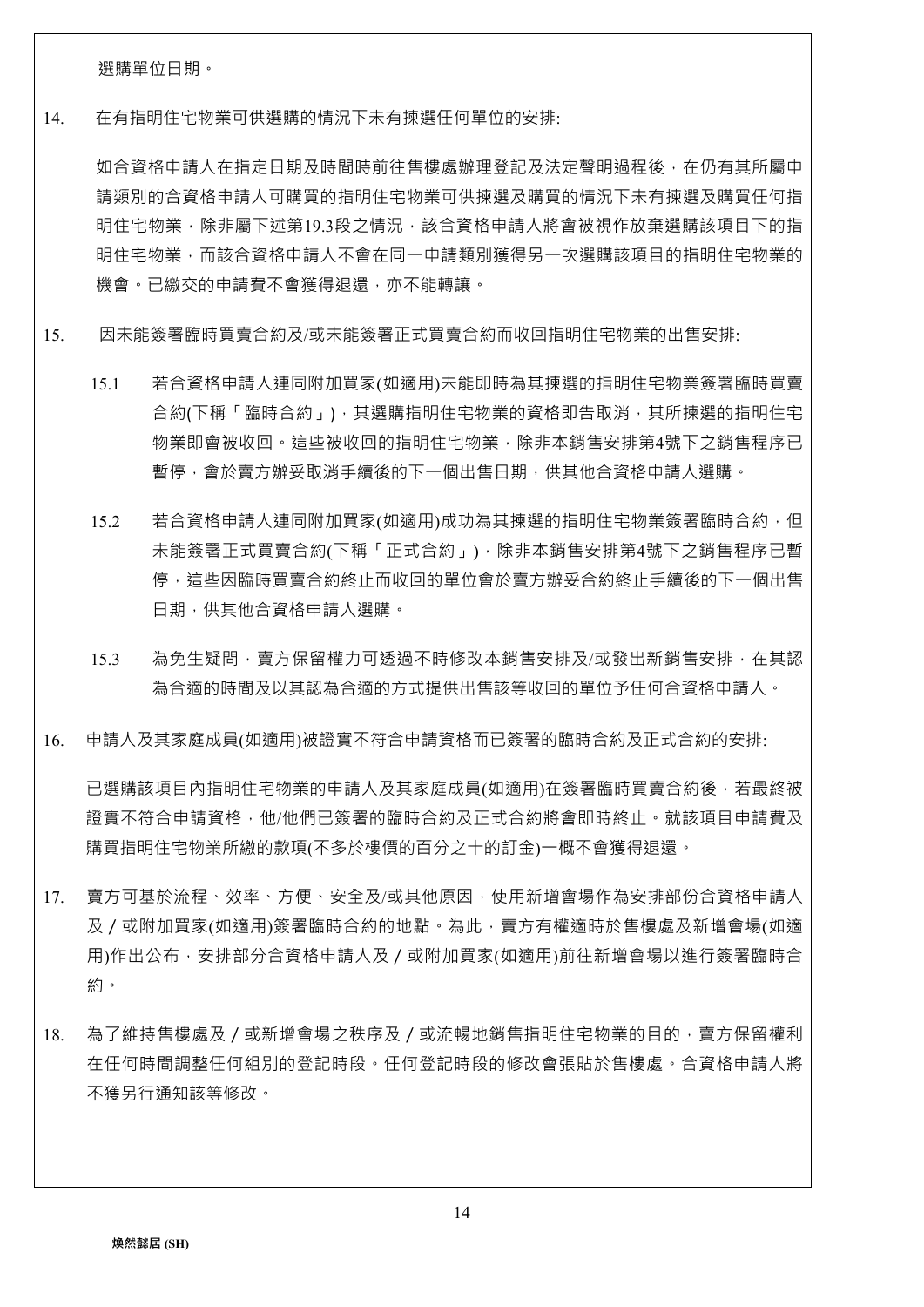選購單位日期。

14. 在有指明住宅物業可供選購的情況下未有揀選任何單位的安排:

如合資格申請人在指定日期及時間時前往售樓處辦理登記及法定聲明過程後,在仍有其所屬申 請類別的合資格申請人可購買的指明住宅物業可供揀選及購買的情況下未有揀選及購買任何指 明住宅物業,除非屬下述第19.3段之情況,該合資格申請人將會被視作放棄選購該項目下的指 明住宅物業,而該合資格申請人不會在同一申請類別獲得另一次選購該項目的指明住宅物業的 機會。已繳交的申請費不會獲得退還,亦不能轉讓。

- 15. 因未能簽署臨時買賣合約及/或未能簽署正式買賣合約而收回指明住宅物業的出售安排:
	- 15.1 若合資格申請人連同附加買家(如適用)未能即時為其揀選的指明住宅物業簽署臨時買賣 合約(下稱「臨時合約」),其選購指明住宅物業的資格即告取消,其所揀選的指明住宅 物業即會被收回。這些被收回的指明住宅物業,除非本銷售安排第4號下之銷售程序已 暫停,會於賣方辦妥取消手續後的下一個出售日期,供其他合資格申請人選購。
	- 15.2 若合資格申請人連同附加買家(如適用)成功為其揀選的指明住宅物業簽署臨時合約, 但 未能簽署正式買賣合約(下稱「正式合約」),除非本銷售安排第4號下之銷售程序已暫 停,這些因臨時買賣合約終止而收回的單位會於賣方辦妥合約終止手續後的下一個出售 日期,供其他合資格申請人選購。
	- 15.3 為免生疑問,賣方保留權力可透過不時修改本銷售安排及/或發出新銷售安排,在其認 為合適的時間及以其認為合適的方式提供出售該等收回的單位予任何合資格申請人。
- 16. 申請人及其家庭成員(如適用)被證實不符合申請資格而已簽署的臨時合約及正式合約的安排:

已選購該項目內指明住宅物業的申請人及其家庭成員(如適用)在簽署臨時買賣合約後,若最終被 證實不符合申請資格,他/他們已簽署的臨時合約及正式合約將會即時終止。就該項目申請費及 購買指明住宅物業所繳的款項(不多於樓價的百分之十的訂金)一概不會獲得退還。

- 17. 賣方可基於流程、效率、方便、安全及/或其他原因,使用新增會場作為安排部份合資格申請人 及/或附加買家(如適用)簽署臨時合約的地點。為此,賣方有權適時於售樓處及新增會場(如適 用)作出公布,安排部分合資格申請人及 / 或附加買家(如適用)前往新增會場以進行簽署臨時合 約。
- 18. 為了維持售樓處及/或新增會場之秩序及/或流暢地銷售指明住宅物業的目的,賣方保留權利 在任何時間調整任何組別的登記時段。任何登記時段的修改會張貼於售樓處。合資格申請人將 不獲另行通知該等修改。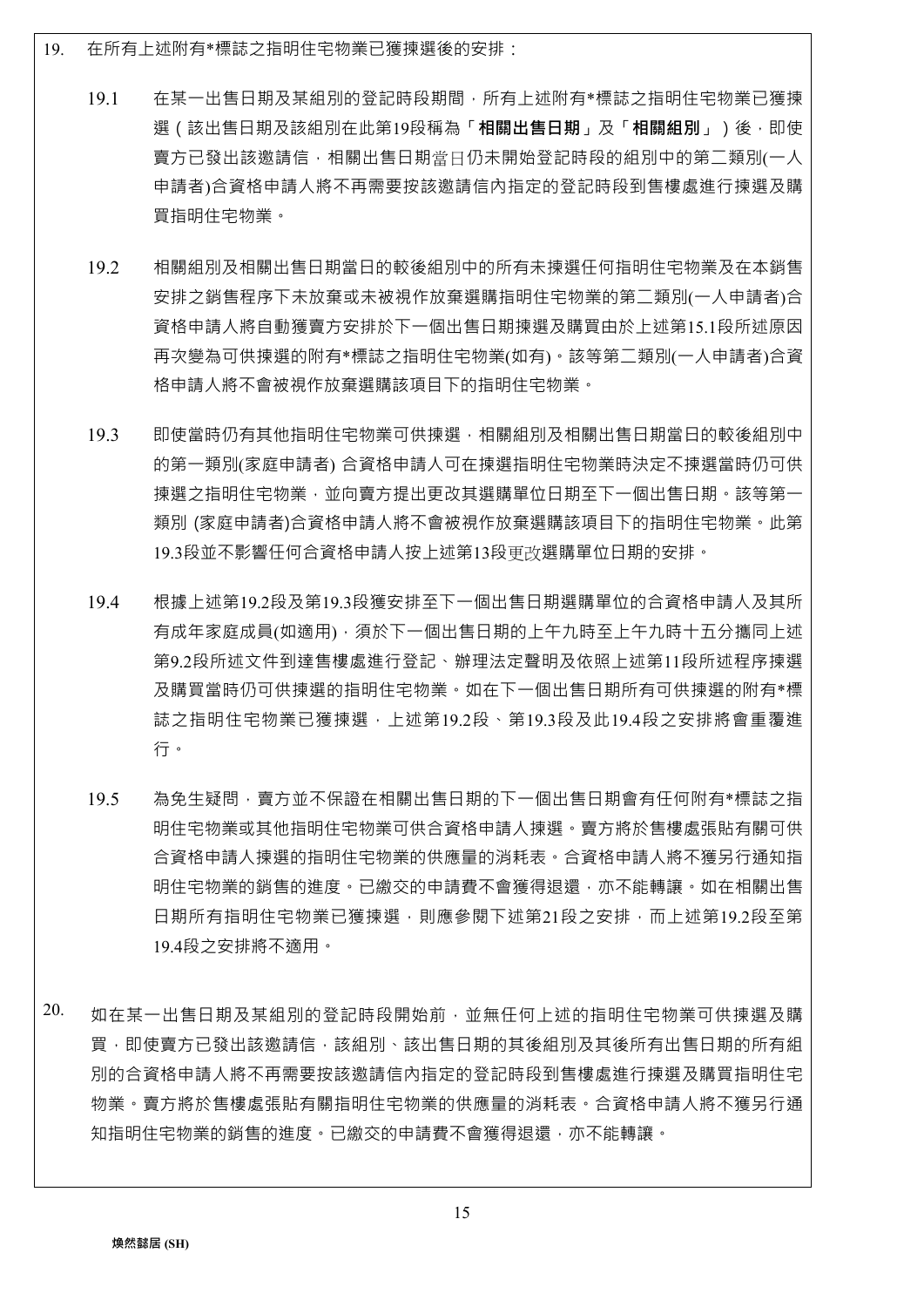- 19. 在所有上述附有\*標誌之指明住宅物業已獲揀選後的安排:
	- 19.1 在某一出售日期及某組別的登記時段期間,所有上述附有\*標誌之指明住宅物業已獲揀 選(該出售日期及該組別在此第19段稱為「**相關出售日期**」及「**相關組別**」)後,即使 賣方已發出該邀請信,相關出售日期當日仍未開始登記時段的組別中的第二類別(一人 申請者)合資格申請人將不再需要按該邀請信內指定的登記時段到售樓處進行揀選及購 買指明住宅物業。
	- 19.2 相關組別及相關出售日期當日的較後組別中的所有未揀選任何指明住宅物業及在本銷售 安排之銷售程序下未放棄或未被視作放棄選購指明住宅物業的第二類別(一人申請者)合 資格申請人將自動獲賣方安排於下一個出售日期揀選及購買由於上述第15.1段所述原因 再次變為可供揀選的附有\*標誌之指明住宅物業(如有)。該等第二類別(一人申請者)合資 格申請人將不會被視作放棄選購該項目下的指明住宅物業。
	- 19.3 即使當時仍有其他指明住宅物業可供揀選,相關組別及相關出售日期當日的較後組別中 的第一類別(家庭申請者) 合資格申請人可在揀選指明住宅物業時決定不揀選當時仍可供 揀選之指明住宅物業,並向賣方提出更改其選購單位日期至下一個出售日期。該等第一 類別 (家庭申請者)合資格申請人將不會被視作放棄選購該項目下的指明住宅物業。此第 19.3段並不影響任何合資格申請人按上述第13段更改選購單位日期的安排。
	- 19.4 根據上述第19.2段及第19.3段獲安排至下一個出售日期選購單位的合資格申請人及其所 有成年家庭成員(如適用), 須於下一個出售日期的上午九時至上午九時十五分攜同上述 第9.2段所述文件到達售樓處進行登記、辦理法定聲明及依照上述第11段所述程序揀選 及購買當時仍可供揀選的指明住宅物業。如在下一個出售日期所有可供揀選的附有\*標 誌之指明住宅物業已獲揀選,上述第19.2段、第19.3段及此19.4段之安排將會重覆進 行。
	- 19.5 為免生疑問,賣方並不保證在相關出售日期的下一個出售日期會有任何附有\*標誌之指 明住宅物業或其他指明住宅物業可供合資格申請人揀選。賣方將於售樓處張貼有關可供 合資格申請人揀選的指明住宅物業的供應量的消耗表。合資格申請人將不獲另行通知指 明住宅物業的銷售的進度。已繳交的申請費不會獲得退還,亦不能轉讓。如在相關出售 日期所有指明住宅物業已獲揀選,則應參閱下述第21段之安排,而上述第19.2段至第 19.4段之安排將不適用。
- 20. 如在某一出售日期及某組別的登記時段開始前,並無任何上述的指明住宅物業可供揀選及購 買,即使賣方已發出該邀請信,該組別、該出售日期的其後組別及其後所有出售日期的所有組 別的合資格申請人將不再需要按該邀請信內指定的登記時段到售樓處進行揀選及購買指明住宅 物業。賣方將於售樓處張貼有關指明住宅物業的供應量的消耗表。合資格申請人將不獲另行通 知指明住宅物業的銷售的進度。已繳交的申請費不會獲得退還,亦不能轉讓。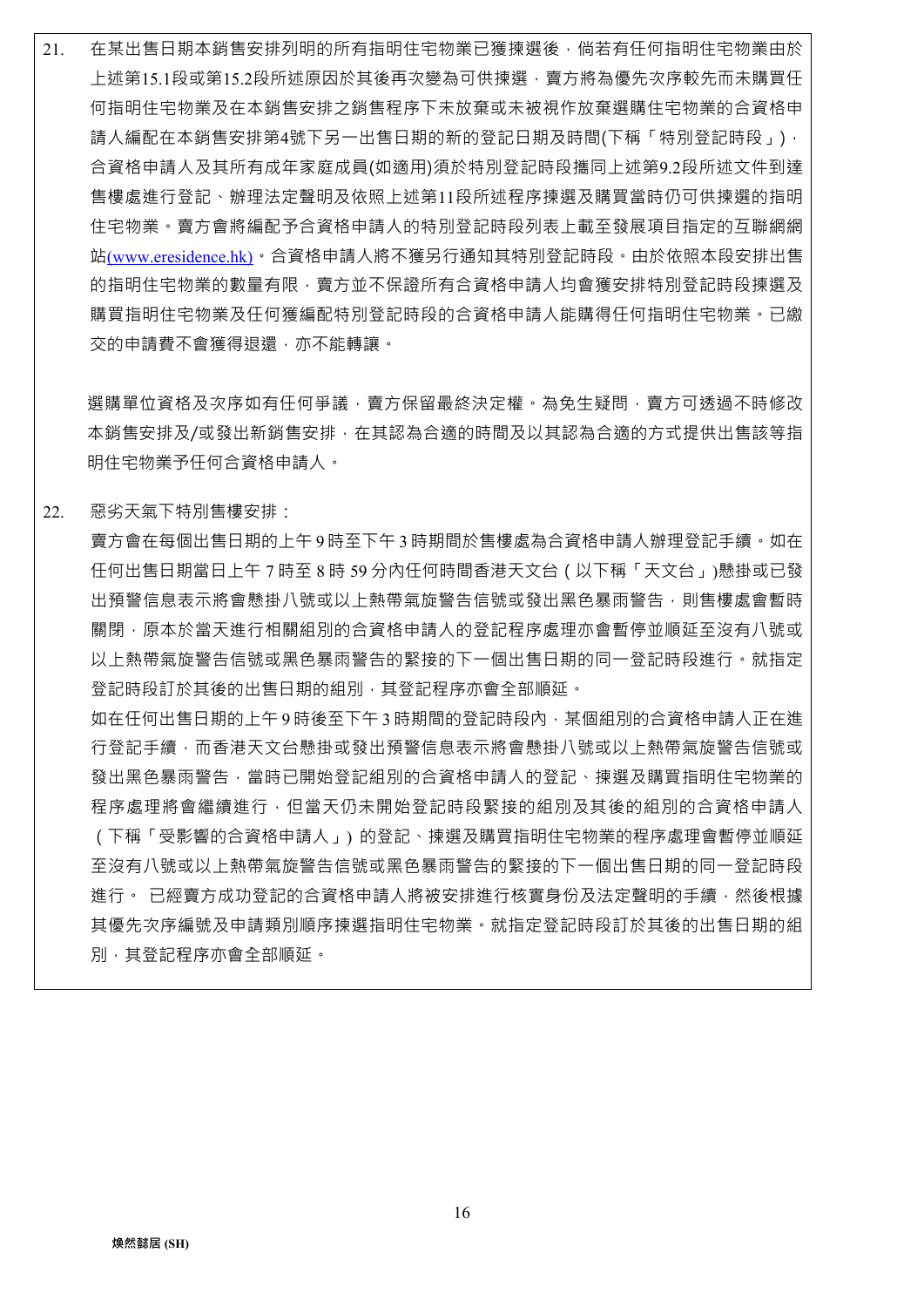21. 在某出售日期本銷售安排列明的所有指明住宅物業已獲揀選後,倘若有任何指明住宅物業由於 上述第15.1段或第15.2段所述原因於其後再次變為可供揀選,賣方將為優先次序較先而未購買任 何指明住宅物業及在本銷售安排之銷售程序下未放棄或未被視作放棄選購住宅物業的合資格申 請人編配在本銷售安排第4號下另一出售日期的新的登記日期及時間(下稱「特別登記時段」), 合資格申請人及其所有成年家庭成員(如適用)須於特別登記時段攜同上述第9.2段所述文件到達 售樓處進行登記、辦理法定聲明及依照上述第11段所述程序揀選及購買當時仍可供揀選的指明 住宅物業。賣方會將編配予合資格申請人的特別登記時段列表上載至發展項目指定的互聯網網 站(www.eresidence.hk)。合資格申請人將不獲另行通知其特別登記時段。由於依照本段安排出售 的指明住宅物業的數量有限,賣方並不保證所有合資格申請人均會獲安排特別登記時段揀選及 購買指明住宅物業及任何獲編配特別登記時段的合資格申請人能購得任何指明住宅物業。已繳 交的申請費不會獲得退還,亦不能轉讓。

選購單位資格及次序如有任何爭議,賣方保留最終決定權。為免生疑問,賣方可透過不時修改 本銷售安排及/或發出新銷售安排,在其認為合適的時間及以其認為合適的方式提供出售該等指 明住宅物業予任何合資格申請人。

22. 惡劣天氣下特別售樓安排:

賣方會在每個出售日期的上午 9 時至下午 3 時期間於售樓處為合資格申請人辦理登記手續。如在 任何出售日期當日上午 7 時至 8 時 59 分內任何時間香港天文台(以下稱「天文台」)懸掛或已發 出預警信息表示將會懸掛八號或以上熱帶氣旋警告信號或發出黑色暴雨警告,則售樓處會暫時 關閉,原本於當天進行相關組別的合資格申請人的登記程序處理亦會暫停並順延至沒有八號或 以上熱帶氣旋警告信號或黑色暴雨警告的緊接的下一個出售日期的同一登記時段進行。就指定 登記時段訂於其後的出售日期的組別,其登記程序亦會全部順延。

如在任何出售日期的上午 9 時後至下午 3 時期間的登記時段內,某個組別的合資格申請人正在進 行登記手續,而香港天文台懸掛或發出預警信息表示將會懸掛八號或以上熱帶氣旋警告信號或 發出黑色暴雨警告,當時已開始登記組別的合資格申請人的登記、揀選及購買指明住宅物業的 程序處理將會繼續進行,但當天仍未開始登記時段緊接的組別及其後的組別的合資格申請人 (下稱「受影響的合資格申請人」) 的登記、揀選及購買指明住宅物業的程序處理會暫停並順延 至沒有八號或以上熱帶氣旋警告信號或黑色暴雨警告的緊接的下一個出售日期的同一登記時段 進行。 已經賣方成功登記的合資格申請人將被安排進行核實身份及法定聲明的手續,然後根據 其優先次序編號及申請類別順序揀選指明住宅物業。就指定登記時段訂於其後的出售日期的組 別,其登記程序亦會全部順延。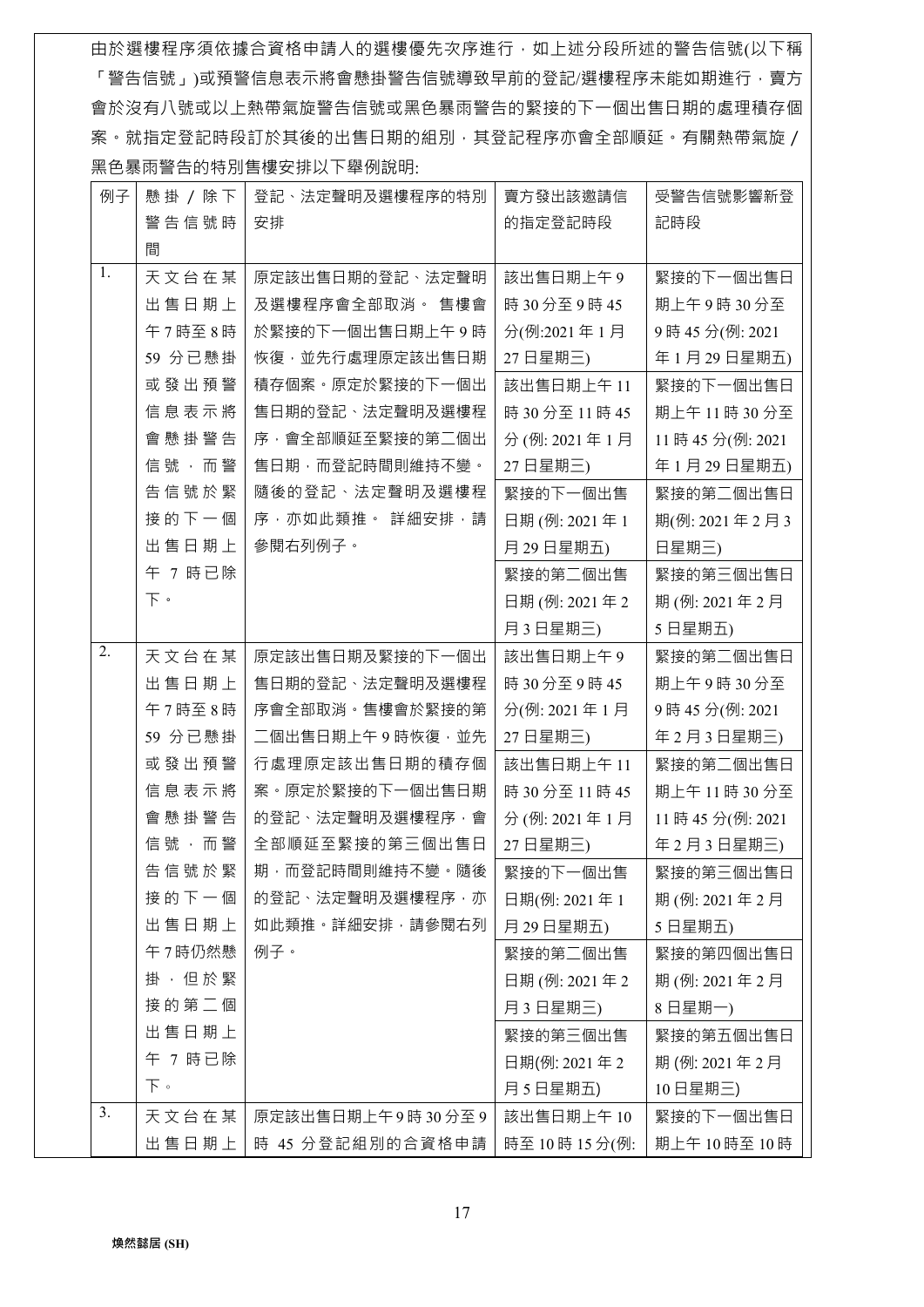由於選樓程序須依據合資格申請人的選樓優先次序進行,如上述分段所述的警告信號(以下稱 「警告信號」)或預警信息表示將會懸掛警告信號導致早前的登記/選樓程序未能如期進行,賣方 會於沒有八號或以上熱帶氣旋警告信號或黑色暴雨警告的緊接的下一個出售日期的處理積存個 案。就指定登記時段訂於其後的出售日期的組別,其登記程序亦會全部順延。有關熱帶氣旋/ 黑色暴雨警告的特別售樓安排以下舉例說明:

| 例子 | 懸掛 / 除下 | 登記、法定聲明及選樓程序的特別                 | 賣方發出該邀請信        | 受警告信號影響新登      |
|----|---------|---------------------------------|-----------------|----------------|
|    | 警告信號時   | 安排                              | 的指定登記時段         | 記時段            |
|    | 間       |                                 |                 |                |
| 1. | 天文台在某   | 原定該出售日期的登記、法定聲明                 | 該出售日期上午9        | 緊接的下一個出售日      |
|    | 出售日期上   | 及選樓程序會全部取消。 售樓會                 | 時 30 分至 9 時 45  | 期上午9時30分至      |
|    | 午7時至8時  | 於緊接的下一個出售日期上午9時                 | 分(例:2021年1月     | 9時45分(例:2021   |
|    | 59 分已懸掛 | 恢復,並先行處理原定該出售日期                 | 27 日星期三)        | 年1月29日星期五)     |
|    | 或發出預警   | 積存個案。原定於緊接的下一個出                 | 該出售日期上午11       | 緊接的下一個出售日      |
|    | 信息表示將   | 售日期的登記、法定聲明及選樓程                 | 時 30 分至 11 時 45 | 期上午11時30分至     |
|    | 會懸掛警告   | 序,會全部順延至緊接的第二個出                 | 分(例: 2021年1月    | 11時45分(例: 2021 |
|    | 信號,而警   | 售日期,而登記時間則維持不變。                 | 27 日星期三)        | 年1月29日星期五)     |
|    | 告信號於緊   | 隨後的登記、法定聲明及選樓程                  | 緊接的下一個出售        | 緊接的第二個出售日      |
|    | 接的下一個   | 序, 亦如此類推 · 詳細安排, 請              | 日期(例: 2021年1    | 期(例: 2021年2月3  |
|    | 出售日期上   | 參閱右列例子。                         | 月29日星期五)        | 日星期三)          |
|    | 午 7 時已除 |                                 | 緊接的第二個出售        | 緊接的第三個出售日      |
|    | 下。      |                                 | 日期 (例: 2021年2   | 期(例: 2021年2月   |
|    |         |                                 | 月3日星期三)         | 5日星期五)         |
| 2. | 天文台在某   | 原定該出售日期及緊接的下一個出                 | 該出售日期上午9        | 緊接的第二個出售日      |
|    | 出售日期上   | 售日期的登記、法定聲明及選樓程                 | 時 30 分至 9 時 45  | 期上午9時30分至      |
|    | 午7時至8時  | 序會全部取消。售樓會於緊接的第                 | 分(例: 2021年1月    | 9時45分(例:2021   |
|    | 59 分已懸掛 | 二個出售日期上午9時恢復,並先                 | 27 日星期三)        | 年2月3日星期三)      |
|    | 或發出預警   | 行處理原定該出售日期的積存個                  | 該出售日期上午11       | 緊接的第二個出售日      |
|    | 信息表示將   | 案·原定於緊接的下一個出售日期                 | 時 30 分至 11 時 45 | 期上午11時30分至     |
|    | 會懸掛警告   | 的登記、法定聲明及選樓程序,會                 | 分(例: 2021年1月    | 11時45分(例: 2021 |
|    | 信號,而警   | 全部順延至緊接的第三個出售日                  | 27 日星期三)        | 年2月3日星期三)      |
|    |         | 告 信 號 於 緊   期 · 而登記時間則維持不變 · 隨後 | 緊接的下一個出售        | 緊接的第三個出售日      |
|    | 接的下一個   | 的登記、法定聲明及選樓程序,亦                 | 日期(例: 2021年1    | 期(例: 2021年2月   |
|    | 出售日期上   | 如此類推 · 詳細安排 · 請參閱右列             | 月 29日星期五)       | 5日星期五)         |
|    | 午7時仍然懸  | 例子。                             | 緊接的第二個出售        | 緊接的第四個出售日      |
|    | 掛, 但於緊  |                                 | 日期(例: 2021年2    | 期(例: 2021年2月   |
|    | 接的第二個   |                                 | 月3日星期三)         | 8日星期一)         |
|    | 出售日期上   |                                 | 緊接的第三個出售        | 緊接的第五個出售日      |
|    | 午 7 時已除 |                                 | 日期(例: 2021年2    | 期(例: 2021年2月   |
|    | 下。      |                                 | 月5日星期五)         | 10日星期三)        |
| 3. | 天文台在某   | 原定該出售日期上午9時30分至9                | 該出售日期上午10       | 緊接的下一個出售日      |
|    | 出售日期上   | 時 45 分登記組別的合資格申請                | 時至 10時 15分(例:   | 期上午10時至10時     |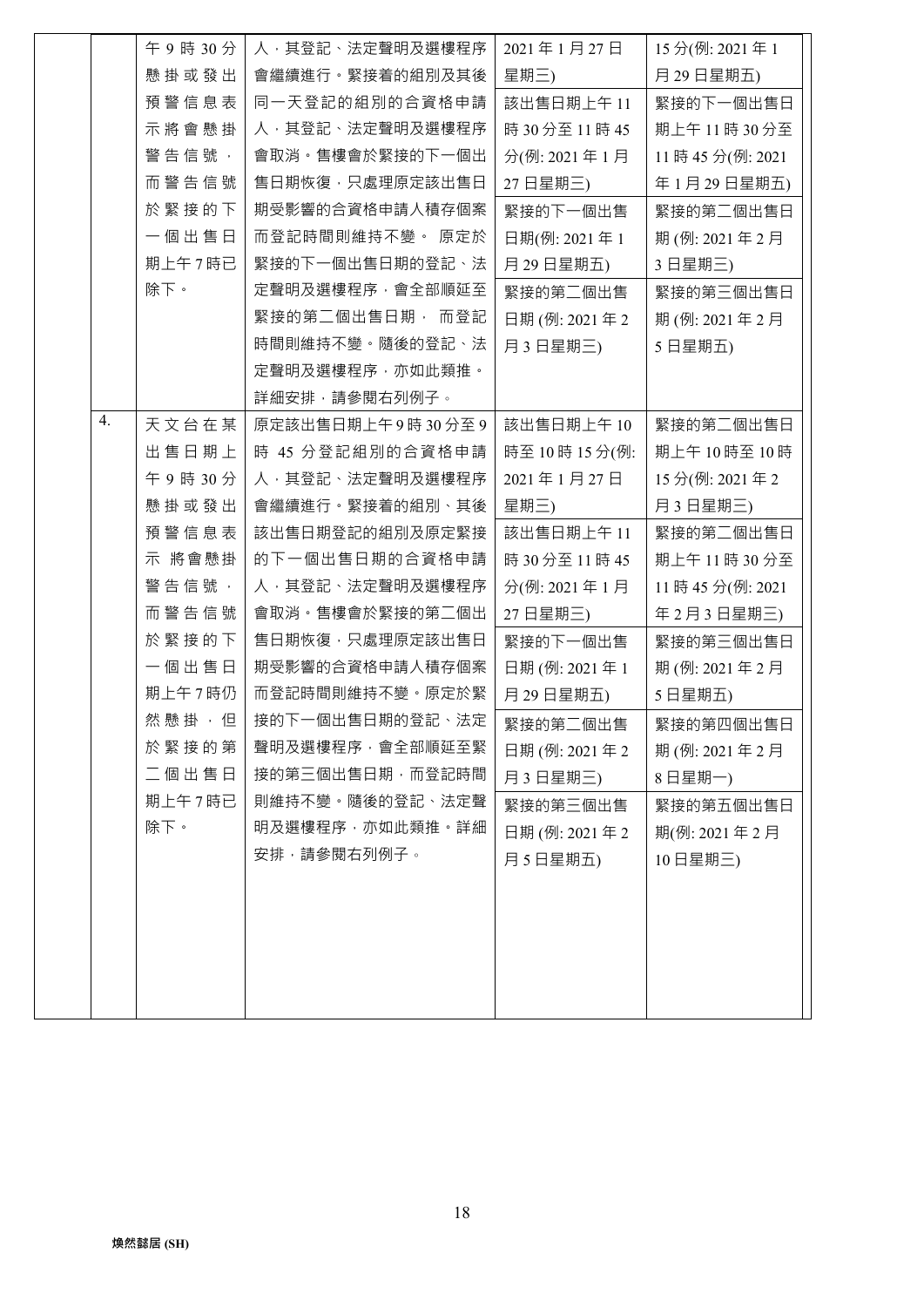|    | 午9時30分    | 人,其登記、法定聲明及選樓程序  | 2021年1月27日      | 15分(例: 2021年1  |
|----|-----------|------------------|-----------------|----------------|
|    | 懸掛或發出     | 會繼續進行。緊接着的組別及其後  | 星期三)            | 月29日星期五)       |
|    | 預警信息表     | 同一天登記的組別的合資格申請   | 該出售日期上午 11      | 緊接的下一個出售日      |
|    | 示將會懸掛     | 人, 其登記、法定聲明及選樓程序 | 時 30 分至 11 時 45 | 期上午11時30分至     |
|    | 警告信號,     | 會取消。售樓會於緊接的下一個出  | 分(例: 2021年1月    | 11時45分(例: 2021 |
|    | 而警告信號     | 售日期恢復,只處理原定該出售日  | 27日星期三)         | 年1月29日星期五)     |
|    | 於緊接的下     | 期受影響的合資格申請人積存個案  | 緊接的下一個出售        | 緊接的第二個出售日      |
|    | 一個出售日     | 而登記時間則維持不變。 原定於  | 日期(例: 2021年1    | 期(例: 2021年2月   |
|    | 期上午7時已    | 緊接的下一個出售日期的登記、法  | 月 29日星期五)       | 3日星期三)         |
|    | 除下。       | 定聲明及選樓程序,會全部順延至  | 緊接的第二個出售        | 緊接的第三個出售日      |
|    |           | 緊接的第二個出售日期, 而登記  | 日期 (例: 2021年2   | 期(例: 2021年2月   |
|    |           | 時間則維持不變。隨後的登記、法  | 月3日星期三)         | 5日星期五)         |
|    |           | 定聲明及選樓程序,亦如此類推。  |                 |                |
|    |           | 詳細安排,請參閱右列例子。    |                 |                |
| 4. | 天文台在某     | 原定該出售日期上午9時30分至9 | 該出售日期上午10       | 緊接的第二個出售日      |
|    | 出售日期上     | 時 45 分登記組別的合資格申請 | 時至10時15分(例:     | 期上午10時至10時     |
|    | 午9時30分    | 人,其登記、法定聲明及選樓程序  | 2021年1月27日      | 15分(例: 2021年2  |
|    | 懸掛或發出     | 會繼續進行。緊接着的組別、其後  | 星期三)            | 月3日星期三)        |
|    | 預警信息表     | 該出售日期登記的組別及原定緊接  | 該出售日期上午 11      | 緊接的第二個出售日      |
|    | 示 將會懸掛    | 的下一個出售日期的合資格申請   | 時 30 分至 11 時 45 | 期上午11時30分至     |
|    | 警告信號,     | 人,其登記、法定聲明及選樓程序  | 分(例: 2021年1月    | 11時45分(例: 2021 |
|    | 而警告信號     | 會取消。售樓會於緊接的第二個出  | 27 日星期三)        | 年2月3日星期三)      |
|    | 於緊接的下     | 售日期恢復,只處理原定該出售日  | 緊接的下一個出售        | 緊接的第三個出售日      |
|    | 一個出售日     | 期受影響的合資格申請人積存個案  | 日期(例: 2021年1    | 期(例: 2021年2月   |
|    | 期上午7時仍    | 而登記時間則維持不變。原定於緊  | 月29日星期五)        | 5日星期五)         |
|    | 然 懸 掛 , 但 | 接的下一個出售日期的登記、法定  | 緊接的第二個出售        | 緊接的第四個出售日      |
|    | 於緊接的第     | 聲明及選樓程序,會全部順延至緊  | 日期 (例: 2021年2   | 期(例: 2021年2月   |
|    | 二個出售日     | 接的第三個出售日期,而登記時間  | 月3日星期三)         | 8日星期一)         |
|    | 期上午7時已    | 則維持不變。隨後的登記、法定聲  | 緊接的第三個出售        | 緊接的第五個出售日      |
|    | 除下。       | 明及選樓程序,亦如此類推。詳細  | 日期 (例: 2021年2   | 期(例: 2021年2月   |
|    |           | 安排,請參閱右列例子。      | 月5日星期五)         | 10日星期三)        |
|    |           |                  |                 |                |
|    |           |                  |                 |                |
|    |           |                  |                 |                |
|    |           |                  |                 |                |
|    |           |                  |                 |                |
|    |           |                  |                 |                |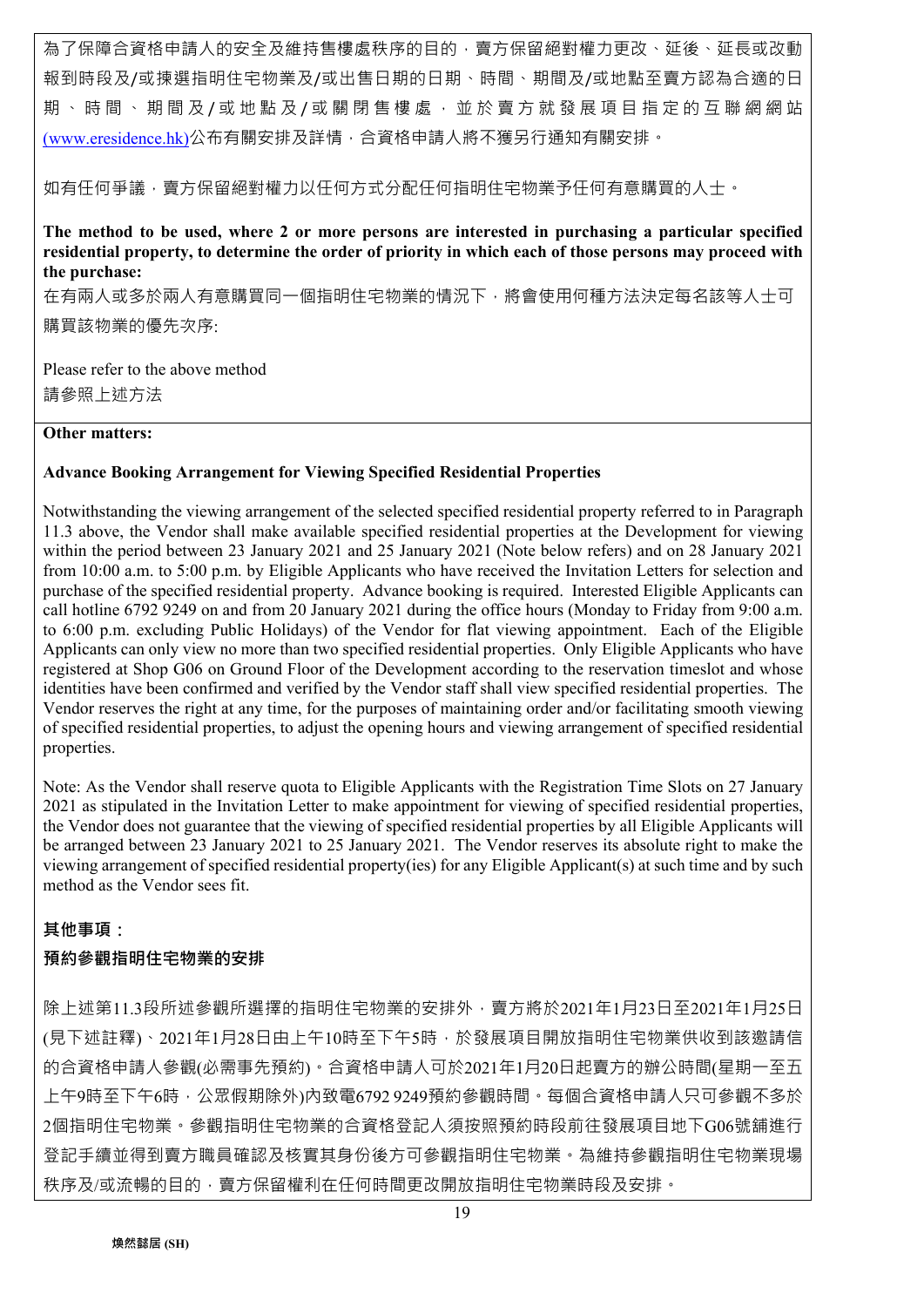為了保障合資格申請人的安全及維持售樓處秩序的目的,賣方保留絕對權力更改、延後、延長或改動 報到時段及/或揀選指明住宅物業及/或出售日期的日期、時間、期間及/或地點至賣方認為合適的日 期、時間、期間及/或地點及/或關閉售樓處,並於賣方就發展項目指定的互聯網網站 (www.eresidence.hk)公布有關安排及詳情,合資格申請人將不獲另行通知有關安排。

如有任何爭議,賣方保留絕對權力以任何方式分配任何指明住宅物業予任何有意購買的人士。

**The method to be used, where 2 or more persons are interested in purchasing a particular specified residential property, to determine the order of priority in which each of those persons may proceed with the purchase:** 

在有兩人或多於兩人有意購買同一個指明住宅物業的情況下,將會使用何種方法決定每名該等人士可 購買該物業的優先次序:

Please refer to the above method 請參照上述方法

## **Other matters:**

#### **Advance Booking Arrangement for Viewing Specified Residential Properties**

Notwithstanding the viewing arrangement of the selected specified residential property referred to in Paragraph 11.3 above, the Vendor shall make available specified residential properties at the Development for viewing within the period between 23 January 2021 and 25 January 2021 (Note below refers) and on 28 January 2021 from 10:00 a.m. to 5:00 p.m. by Eligible Applicants who have received the Invitation Letters for selection and purchase of the specified residential property. Advance booking is required. Interested Eligible Applicants can call hotline 6792 9249 on and from 20 January 2021 during the office hours (Monday to Friday from 9:00 a.m. to 6:00 p.m. excluding Public Holidays) of the Vendor for flat viewing appointment. Each of the Eligible Applicants can only view no more than two specified residential properties. Only Eligible Applicants who have registered at Shop G06 on Ground Floor of the Development according to the reservation timeslot and whose identities have been confirmed and verified by the Vendor staff shall view specified residential properties. The Vendor reserves the right at any time, for the purposes of maintaining order and/or facilitating smooth viewing of specified residential properties, to adjust the opening hours and viewing arrangement of specified residential properties.

Note: As the Vendor shall reserve quota to Eligible Applicants with the Registration Time Slots on 27 January 2021 as stipulated in the Invitation Letter to make appointment for viewing of specified residential properties, the Vendor does not guarantee that the viewing of specified residential properties by all Eligible Applicants will be arranged between 23 January 2021 to 25 January 2021. The Vendor reserves its absolute right to make the viewing arrangement of specified residential property(ies) for any Eligible Applicant(s) at such time and by such method as the Vendor sees fit.

## **其他事項:**

## **預約參觀指明住宅物業的安排**

除上述第11.3段所述參觀所選擇的指明住宅物業的安排外,賣方將於2021年1月23日至2021年1月25日 (見下述註釋)、2021年1月28日由上午10時至下午5時,於發展項目開放指明住宅物業供收到該邀請信 的合資格申請人參觀(必需事先預約)。合資格申請人可於2021年1月20日起賣方的辦公時間(星期一至五 上午9時至下午6時,公眾假期除外)內致電6792 9249預約參觀時間。每個合資格申請人只可參觀不多於 2個指明住宅物業。參觀指明住宅物業的合資格登記人須按照預約時段前往發展項目地下G06號舖進行 登記手續並得到賣方職員確認及核實其身份後方可參觀指明住宅物業。為維持參觀指明住宅物業現場 秩序及/或流暢的目的,賣方保留權利在任何時間更改開放指明住宅物業時段及安排。